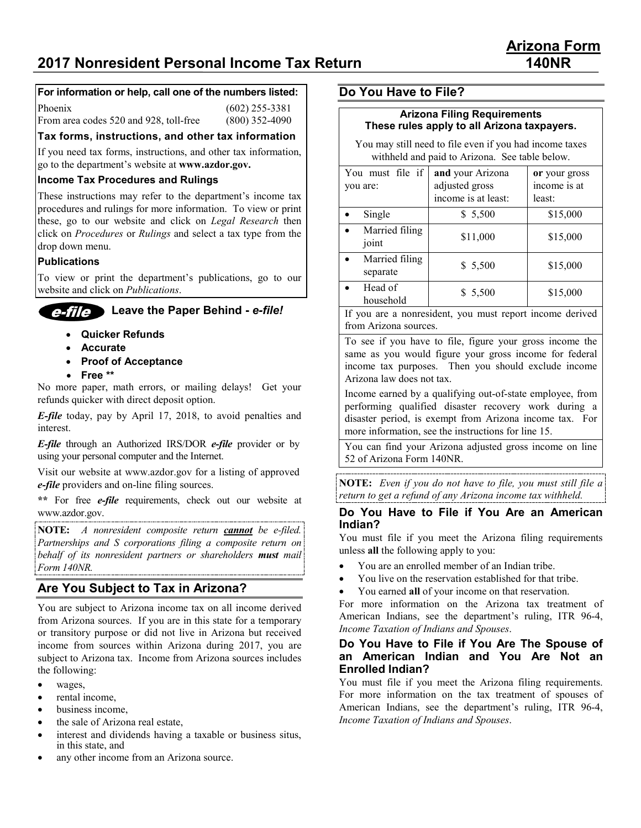# **2017 Nonresident Personal Income Tax Return 140NR**

## **For information or help, call one of the numbers listed:**

Phoenix (602) 255-3381

From area codes 520 and 928, toll-free (800) 352-4090

**Tax forms, instructions, and other tax information**

If you need tax forms, instructions, and other tax information, go to the department's website at **www.azdor.gov.**

#### **Income Tax Procedures and Rulings**

These instructions may refer to the department's income tax procedures and rulings for more information. To view or print these, go to our website and click on *Legal Research* then click on *Procedures* or *Rulings* and select a tax type from the drop down menu.

#### **Publications**

To view or print the department's publications, go to our website and click on *Publications*.

## **Leave the Paper Behind -** *e-file!*

- • **Quicker Refunds**
- • **Accurate**
- • **Proof of Acceptance**
- • **Free \*\***

No more paper, math errors, or mailing delays! Get your refunds quicker with direct deposit option.

*E-file* today, pay by April 17, 2018, to avoid penalties and interest.

*E-file* through an Authorized IRS/DOR *e-file* provider or by using your personal computer and the Internet.

Visit our website at www.azdor.gov for a listing of approved *e-file* providers and on-line filing sources.

**\*\*** For free *e-file* requirements, check out our website at www.azdor.gov.

**NOTE:** *A nonresident composite return cannot be e-filed. Partnerships and S corporations filing a composite return on behalf of its nonresident partners or shareholders must mail Form 140NR.*

## **Are You Subject to Tax in Arizona?**

You are subject to Arizona income tax on all income derived from Arizona sources. If you are in this state for a temporary or transitory purpose or did not live in Arizona but received income from sources within Arizona during 2017, you are subject to Arizona tax. Income from Arizona sources includes the following:

- wages,
- rental income,
- business income.
- the sale of Arizona real estate,
- interest and dividends having a taxable or business situs, in this state, and
- any other income from an Arizona source.

## **Do You Have to File?**

#### **Arizona Filing Requirements These rules apply to all Arizona taxpayers.**

You may still need to file even if you had income taxes withheld and paid to Arizona. See table below.

| You must file if<br>you are: | and your Arizona<br>adjusted gross<br>income is at least: | or your gross<br>income is at<br>least: |  |
|------------------------------|-----------------------------------------------------------|-----------------------------------------|--|
| Single                       | \$ 5,500                                                  | \$15,000                                |  |
| Married filing<br>joint      | \$11,000                                                  | \$15,000                                |  |
| Married filing<br>separate   | \$5,500                                                   | \$15,000                                |  |
| Head of<br>household         | \$5,500                                                   | \$15,000                                |  |

If you are a nonresident, you must report income derived from Arizona sources.

To see if you have to file, figure your gross income the same as you would figure your gross income for federal income tax purposes. Then you should exclude income Arizona law does not tax.

Income earned by a qualifying out-of-state employee, from performing qualified disaster recovery work during a disaster period, is exempt from Arizona income tax. For more information, see the instructions for line 15.

You can find your Arizona adjusted gross income on line 52 of Arizona Form 140NR.

**NOTE:** *Even if you do not have to file, you must still file a return to get a refund of any Arizona income tax withheld.*

#### **Do You Have to File if You Are an American Indian?**

You must file if you meet the Arizona filing requirements unless **all** the following apply to you:

- You are an enrolled member of an Indian tribe.
- You live on the reservation established for that tribe.
- You earned **all** of your income on that reservation.

For more information on the Arizona tax treatment of American Indians, see the department's ruling, ITR 96-4, *Income Taxation of Indians and Spouses*.

#### **Do You Have to File if You Are The Spouse of an American Indian and You Are Not an Enrolled Indian?**

You must file if you meet the Arizona filing requirements. For more information on the tax treatment of spouses of American Indians, see the department's ruling, ITR 96-4, *Income Taxation of Indians and Spouses*.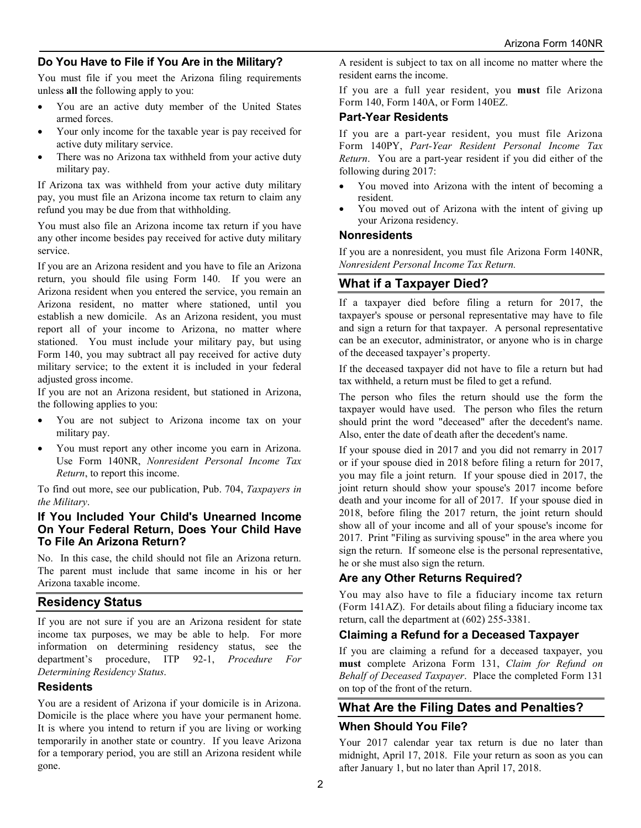## **Do You Have to File if You Are in the Military?**

You must file if you meet the Arizona filing requirements unless **all** the following apply to you:

- You are an active duty member of the United States armed forces.
- Your only income for the taxable year is pay received for active duty military service.
- There was no Arizona tax withheld from your active duty military pay.

If Arizona tax was withheld from your active duty military pay, you must file an Arizona income tax return to claim any refund you may be due from that withholding.

You must also file an Arizona income tax return if you have any other income besides pay received for active duty military service.

If you are an Arizona resident and you have to file an Arizona return, you should file using Form 140. If you were an Arizona resident when you entered the service, you remain an Arizona resident, no matter where stationed, until you establish a new domicile. As an Arizona resident, you must report all of your income to Arizona, no matter where stationed. You must include your military pay, but using Form 140, you may subtract all pay received for active duty military service; to the extent it is included in your federal adjusted gross income.

If you are not an Arizona resident, but stationed in Arizona, the following applies to you:

- You are not subject to Arizona income tax on your military pay.
- You must report any other income you earn in Arizona. Use Form 140NR, *Nonresident Personal Income Tax Return*, to report this income.

To find out more, see our publication, Pub. 704, *Taxpayers in the Military*.

#### **If You Included Your Child's Unearned Income On Your Federal Return, Does Your Child Have To File An Arizona Return?**

No. In this case, the child should not file an Arizona return. The parent must include that same income in his or her Arizona taxable income.

## **Residency Status**

If you are not sure if you are an Arizona resident for state income tax purposes, we may be able to help. For more information on determining residency status, see the department's procedure, ITP 92-1, *Procedure For Determining Residency Status*.

#### **Residents**

You are a resident of Arizona if your domicile is in Arizona. Domicile is the place where you have your permanent home. It is where you intend to return if you are living or working temporarily in another state or country. If you leave Arizona for a temporary period, you are still an Arizona resident while gone.

A resident is subject to tax on all income no matter where the resident earns the income.

If you are a full year resident, you **must** file Arizona Form 140, Form 140A, or Form 140EZ.

## **Part-Year Residents**

If you are a part-year resident, you must file Arizona Form 140PY, *Part-Year Resident Personal Income Tax Return*. You are a part-year resident if you did either of the following during 2017:

- You moved into Arizona with the intent of becoming a resident.
- You moved out of Arizona with the intent of giving up your Arizona residency.

#### **Nonresidents**

If you are a nonresident, you must file Arizona Form 140NR, *Nonresident Personal Income Tax Return.*

## **What if a Taxpayer Died?**

If a taxpayer died before filing a return for 2017, the taxpayer's spouse or personal representative may have to file and sign a return for that taxpayer. A personal representative can be an executor, administrator, or anyone who is in charge of the deceased taxpayer's property.

If the deceased taxpayer did not have to file a return but had tax withheld, a return must be filed to get a refund.

The person who files the return should use the form the taxpayer would have used. The person who files the return should print the word "deceased" after the decedent's name. Also, enter the date of death after the decedent's name.

If your spouse died in 2017 and you did not remarry in 2017 or if your spouse died in 2018 before filing a return for 2017, you may file a joint return. If your spouse died in 2017, the joint return should show your spouse's 2017 income before death and your income for all of 2017. If your spouse died in 2018, before filing the 2017 return, the joint return should show all of your income and all of your spouse's income for 2017. Print "Filing as surviving spouse" in the area where you sign the return. If someone else is the personal representative, he or she must also sign the return.

## **Are any Other Returns Required?**

You may also have to file a fiduciary income tax return (Form 141AZ). For details about filing a fiduciary income tax return, call the department at (602) 255-3381.

#### **Claiming a Refund for a Deceased Taxpayer**

If you are claiming a refund for a deceased taxpayer, you **must** complete Arizona Form 131, *Claim for Refund on Behalf of Deceased Taxpayer*. Place the completed Form 131 on top of the front of the return.

## **What Are the Filing Dates and Penalties? When Should You File?**

Your 2017 calendar year tax return is due no later than midnight, April 17, 2018. File your return as soon as you can after January 1, but no later than April 17, 2018.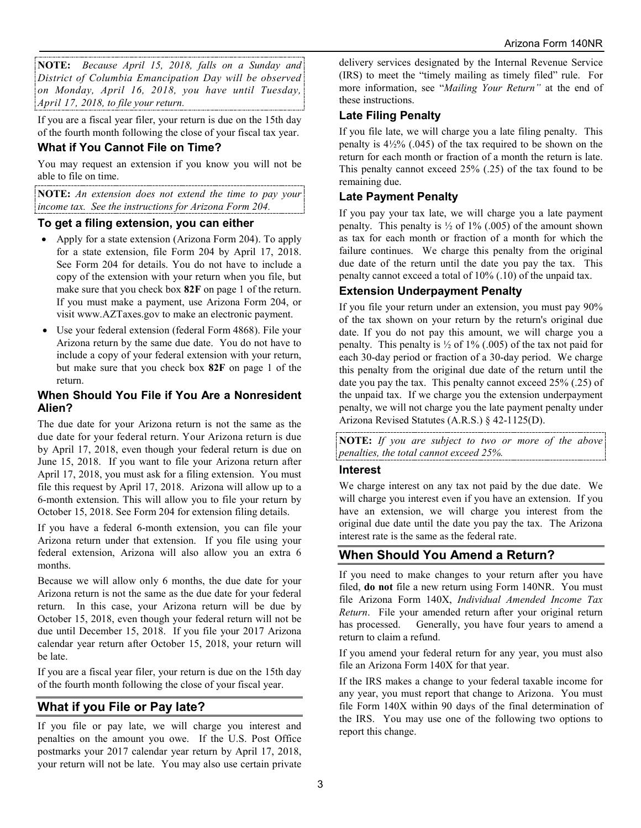**NOTE:** *Because April 15, 2018, falls on a Sunday and District of Columbia Emancipation Day will be observed on Monday, April 16, 2018, you have until Tuesday, April 17, 2018, to file your return.*

If you are a fiscal year filer, your return is due on the 15th day of the fourth month following the close of your fiscal tax year.

## **What if You Cannot File on Time?**

You may request an extension if you know you will not be able to file on time.

**NOTE:** *An extension does not extend the time to pay your income tax. See the instructions for Arizona Form 204.*

## **To get a filing extension, you can either**

- Apply for a state extension (Arizona Form 204). To apply for a state extension, file Form 204 by April 17, 2018. See Form 204 for details. You do not have to include a copy of the extension with your return when you file, but make sure that you check box **82F** on page 1 of the return. If you must make a payment, use Arizona Form 204, or visit www.AZTaxes.gov to make an electronic payment.
- Use your federal extension (federal Form 4868). File your Arizona return by the same due date. You do not have to include a copy of your federal extension with your return, but make sure that you check box **82F** on page 1 of the return.

#### **When Should You File if You Are a Nonresident Alien?**

The due date for your Arizona return is not the same as the due date for your federal return. Your Arizona return is due by April 17, 2018, even though your federal return is due on June 15, 2018. If you want to file your Arizona return after April 17, 2018, you must ask for a filing extension. You must file this request by April 17, 2018. Arizona will allow up to a 6-month extension. This will allow you to file your return by October 15, 2018. See Form 204 for extension filing details.

If you have a federal 6-month extension, you can file your Arizona return under that extension. If you file using your federal extension, Arizona will also allow you an extra 6 months.

Because we will allow only 6 months, the due date for your Arizona return is not the same as the due date for your federal return. In this case, your Arizona return will be due by October 15, 2018, even though your federal return will not be due until December 15, 2018. If you file your 2017 Arizona calendar year return after October 15, 2018, your return will be late.

If you are a fiscal year filer, your return is due on the 15th day of the fourth month following the close of your fiscal year.

## **What if you File or Pay late?**

If you file or pay late, we will charge you interest and penalties on the amount you owe. If the U.S. Post Office postmarks your 2017 calendar year return by April 17, 2018, your return will not be late. You may also use certain private delivery services designated by the Internal Revenue Service (IRS) to meet the "timely mailing as timely filed" rule. For more information, see "*Mailing Your Return"* at the end of these instructions.

## **Late Filing Penalty**

If you file late, we will charge you a late filing penalty. This penalty is  $4\frac{1}{2}\%$  (.045) of the tax required to be shown on the return for each month or fraction of a month the return is late. This penalty cannot exceed 25% (.25) of the tax found to be remaining due.

## **Late Payment Penalty**

If you pay your tax late, we will charge you a late payment penalty. This penalty is  $\frac{1}{2}$  of 1% (.005) of the amount shown as tax for each month or fraction of a month for which the failure continues. We charge this penalty from the original due date of the return until the date you pay the tax. This penalty cannot exceed a total of 10% (.10) of the unpaid tax.

## **Extension Underpayment Penalty**

If you file your return under an extension, you must pay 90% of the tax shown on your return by the return's original due date. If you do not pay this amount, we will charge you a penalty. This penalty is  $\frac{1}{2}$  of 1% (.005) of the tax not paid for each 30-day period or fraction of a 30-day period. We charge this penalty from the original due date of the return until the date you pay the tax. This penalty cannot exceed 25% (.25) of the unpaid tax. If we charge you the extension underpayment penalty, we will not charge you the late payment penalty under Arizona Revised Statutes (A.R.S.) § 42-1125(D).

**NOTE:** *If you are subject to two or more of the above penalties, the total cannot exceed 25%.*

#### **Interest**

We charge interest on any tax not paid by the due date. We will charge you interest even if you have an extension. If you have an extension, we will charge you interest from the original due date until the date you pay the tax. The Arizona interest rate is the same as the federal rate.

## **When Should You Amend a Return?**

If you need to make changes to your return after you have filed, **do not** file a new return using Form 140NR. You must file Arizona Form 140X, *Individual Amended Income Tax Return*. File your amended return after your original return has processed. Generally, you have four years to amend a return to claim a refund.

If you amend your federal return for any year, you must also file an Arizona Form 140X for that year.

If the IRS makes a change to your federal taxable income for any year, you must report that change to Arizona. You must file Form 140X within 90 days of the final determination of the IRS. You may use one of the following two options to report this change.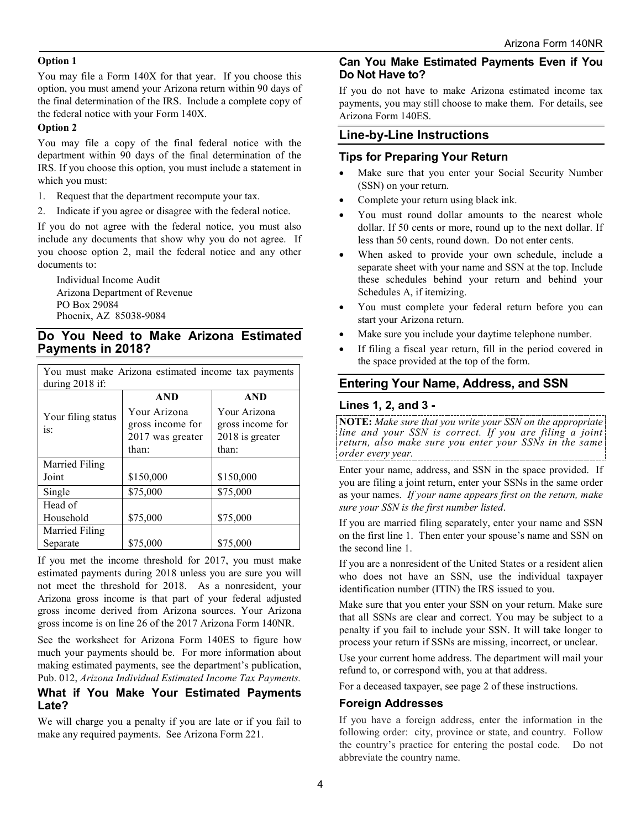#### **Option 1**

You may file a Form 140X for that year. If you choose this option, you must amend your Arizona return within 90 days of the final determination of the IRS. Include a complete copy of the federal notice with your Form 140X.

#### **Option 2**

You may file a copy of the final federal notice with the department within 90 days of the final determination of the IRS. If you choose this option, you must include a statement in which you must:

- 1. Request that the department recompute your tax.
- 2. Indicate if you agree or disagree with the federal notice.

If you do not agree with the federal notice, you must also include any documents that show why you do not agree. If you choose option 2, mail the federal notice and any other documents to:

Individual Income Audit Arizona Department of Revenue PO Box 29084 Phoenix, AZ 85038-9084

## **Do You Need to Make Arizona Estimated Payments in 2018?**

You must make Arizona estimated income tax payments

| during $2018$ if:  |                  |                  |  |  |  |
|--------------------|------------------|------------------|--|--|--|
|                    | <b>AND</b>       | <b>AND</b>       |  |  |  |
| Your filing status | Your Arizona     | Your Arizona     |  |  |  |
| is:                | gross income for | gross income for |  |  |  |
|                    | 2017 was greater | 2018 is greater  |  |  |  |
|                    | than:            | than:            |  |  |  |
| Married Filing     |                  |                  |  |  |  |
| Joint              | \$150,000        | \$150,000        |  |  |  |
| Single             | \$75,000         | \$75,000         |  |  |  |
| Head of            |                  |                  |  |  |  |
| Household          | \$75,000         | \$75,000         |  |  |  |
| Married Filing     |                  |                  |  |  |  |
| Separate           | \$75,000         | \$75,000         |  |  |  |

If you met the income threshold for 2017, you must make estimated payments during 2018 unless you are sure you will not meet the threshold for 2018. As a nonresident, your Arizona gross income is that part of your federal adjusted gross income derived from Arizona sources. Your Arizona gross income is on line 26 of the 2017 Arizona Form 140NR.

See the worksheet for Arizona Form 140ES to figure how much your payments should be. For more information about making estimated payments, see the department's publication, Pub. 012, *Arizona Individual Estimated Income Tax Payments.*

## **What if You Make Your Estimated Payments Late?**

We will charge you a penalty if you are late or if you fail to make any required payments. See Arizona Form 221.

## **Can You Make Estimated Payments Even if You Do Not Have to?**

If you do not have to make Arizona estimated income tax payments, you may still choose to make them. For details, see Arizona Form 140ES.

## **Line-by-Line Instructions**

#### **Tips for Preparing Your Return**

- Make sure that you enter your Social Security Number (SSN) on your return.
- Complete your return using black ink.
- You must round dollar amounts to the nearest whole dollar. If 50 cents or more, round up to the next dollar. If less than 50 cents, round down. Do not enter cents.
- When asked to provide your own schedule, include a separate sheet with your name and SSN at the top. Include these schedules behind your return and behind your Schedules A, if itemizing.
- You must complete your federal return before you can start your Arizona return.
- Make sure you include your daytime telephone number.
- If filing a fiscal year return, fill in the period covered in the space provided at the top of the form.

## **Entering Your Name, Address, and SSN**

## **Lines 1, 2, and 3 -**

**NOTE:** *Make sure that you write your SSN on the appropriate line and your SSN is correct. If you are filing a joint return, also make sure you enter your SSNs in the same order every year.*

Enter your name, address, and SSN in the space provided. If you are filing a joint return, enter your SSNs in the same order as your names. *If your name appears first on the return, make sure your SSN is the first number listed*.

If you are married filing separately, enter your name and SSN on the first line 1. Then enter your spouse's name and SSN on the second line 1.

If you are a nonresident of the United States or a resident alien who does not have an SSN, use the individual taxpayer identification number (ITIN) the IRS issued to you.

Make sure that you enter your SSN on your return. Make sure that all SSNs are clear and correct. You may be subject to a penalty if you fail to include your SSN. It will take longer to process your return if SSNs are missing, incorrect, or unclear.

Use your current home address. The department will mail your refund to, or correspond with, you at that address.

For a deceased taxpayer, see page 2 of these instructions.

## **Foreign Addresses**

If you have a foreign address, enter the information in the following order: city, province or state, and country. Follow the country's practice for entering the postal code. Do not abbreviate the country name.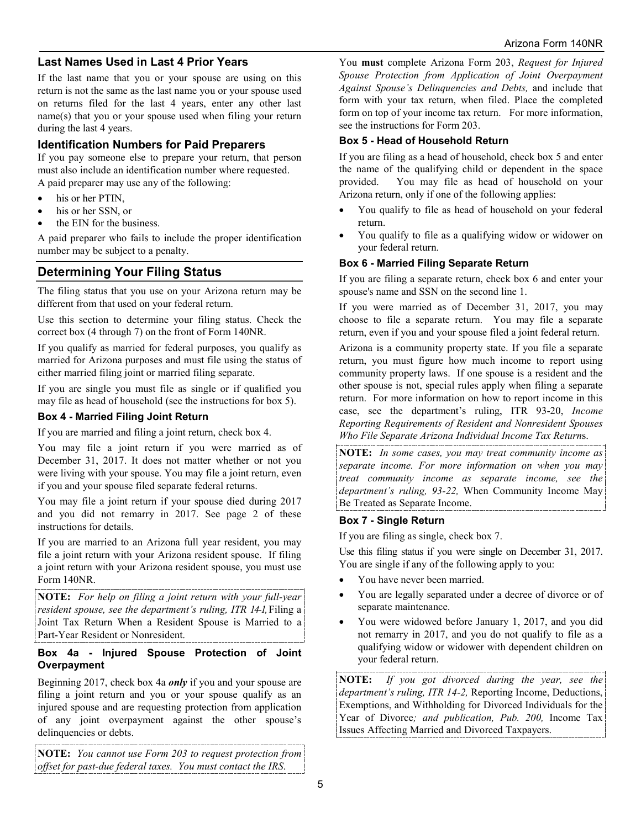## **Last Names Used in Last 4 Prior Years**

If the last name that you or your spouse are using on this return is not the same as the last name you or your spouse used on returns filed for the last 4 years, enter any other last name(s) that you or your spouse used when filing your return during the last 4 years.

## **Identification Numbers for Paid Preparers**

If you pay someone else to prepare your return, that person must also include an identification number where requested. A paid preparer may use any of the following:

- his or her PTIN,
- his or her SSN, or
- the EIN for the business.

A paid preparer who fails to include the proper identification number may be subject to a penalty.

## **Determining Your Filing Status**

The filing status that you use on your Arizona return may be different from that used on your federal return.

Use this section to determine your filing status. Check the correct box (4 through 7) on the front of Form 140NR.

If you qualify as married for federal purposes, you qualify as married for Arizona purposes and must file using the status of either married filing joint or married filing separate.

If you are single you must file as single or if qualified you may file as head of household (see the instructions for box 5).

## **Box 4 - Married Filing Joint Return**

If you are married and filing a joint return, check box 4.

You may file a joint return if you were married as of December 31, 2017. It does not matter whether or not you were living with your spouse. You may file a joint return, even if you and your spouse filed separate federal returns.

You may file a joint return if your spouse died during 2017 and you did not remarry in 2017. See page 2 of these instructions for details.

If you are married to an Arizona full year resident, you may file a joint return with your Arizona resident spouse. If filing a joint return with your Arizona resident spouse, you must use Form 140NR.

**NOTE:** *For help on filing a joint return with your full-year resident spouse, see the department's ruling, ITR 14-1,* Filing a Joint Tax Return When a Resident Spouse is Married to a Part-Year Resident or Nonresident.

#### **Box 4a - Injured Spouse Protection of Joint Overpayment**

Beginning 2017, check box 4a *only* if you and your spouse are filing a joint return and you or your spouse qualify as an injured spouse and are requesting protection from application of any joint overpayment against the other spouse's delinquencies or debts.

**NOTE:** *You cannot use Form 203 to request protection from offset for past-due federal taxes. You must contact the IRS*.

You **must** complete Arizona Form 203, *Request for Injured Spouse Protection from Application of Joint Overpayment Against Spouse's Delinquencies and Debts,* and include that form with your tax return, when filed. Place the completed form on top of your income tax return. For more information, see the instructions for Form 203.

## **Box 5 - Head of Household Return**

If you are filing as a head of household, check box 5 and enter the name of the qualifying child or dependent in the space provided. You may file as head of household on your Arizona return, only if one of the following applies:

- You qualify to file as head of household on your federal return.
- You qualify to file as a qualifying widow or widower on your federal return.

## **Box 6 - Married Filing Separate Return**

If you are filing a separate return, check box 6 and enter your spouse's name and SSN on the second line 1.

If you were married as of December 31, 2017, you may choose to file a separate return. You may file a separate return, even if you and your spouse filed a joint federal return.

Arizona is a community property state. If you file a separate return, you must figure how much income to report using community property laws. If one spouse is a resident and the other spouse is not, special rules apply when filing a separate return. For more information on how to report income in this case, see the department's ruling, ITR 93-20, *Income Reporting Requirements of Resident and Nonresident Spouses Who File Separate Arizona Individual Income Tax Return*s.

**NOTE:** *In some cases, you may treat community income as separate income. For more information on when you may treat community income as separate income, see the department's ruling, 93-22,* When Community Income May Be Treated as Separate Income.

#### **Box 7 - Single Return**

If you are filing as single, check box 7.

Use this filing status if you were single on December 31, 2017. You are single if any of the following apply to you:

- You have never been married.
- You are legally separated under a decree of divorce or of separate maintenance.
- You were widowed before January 1, 2017, and you did not remarry in 2017, and you do not qualify to file as a qualifying widow or widower with dependent children on your federal return.

**NOTE:** *If you got divorced during the year, see the department's ruling, ITR 14-2,* Reporting Income, Deductions, Exemptions, and Withholding for Divorced Individuals for the Year of Divorce*; and publication, Pub. 200,* Income Tax Issues Affecting Married and Divorced Taxpayers.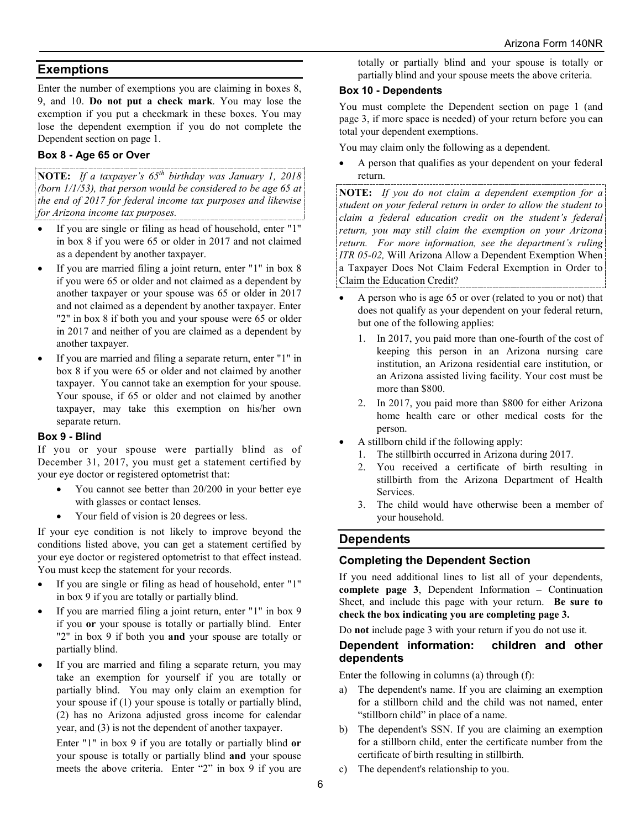## **Exemptions**

Enter the number of exemptions you are claiming in boxes 8, 9, and 10. **Do not put a check mark**. You may lose the exemption if you put a checkmark in these boxes. You may lose the dependent exemption if you do not complete the Dependent section on page 1.

## **Box 8 - Age 65 or Over**

**NOTE:** *If a taxpayer's 65th birthday was January 1, 2018 (born 1/1/53), that person would be considered to be age 65 at the end of 2017 for federal income tax purposes and likewise for Arizona income tax purposes.*

- If you are single or filing as head of household, enter "1" in box 8 if you were 65 or older in 2017 and not claimed as a dependent by another taxpayer.
- If you are married filing a joint return, enter "1" in box 8 if you were 65 or older and not claimed as a dependent by another taxpayer or your spouse was 65 or older in 2017 and not claimed as a dependent by another taxpayer. Enter "2" in box 8 if both you and your spouse were 65 or older in 2017 and neither of you are claimed as a dependent by another taxpayer.
- If you are married and filing a separate return, enter "1" in box 8 if you were 65 or older and not claimed by another taxpayer. You cannot take an exemption for your spouse. Your spouse, if 65 or older and not claimed by another taxpayer, may take this exemption on his/her own separate return.

#### **Box 9 - Blind**

If you or your spouse were partially blind as of December 31, 2017, you must get a statement certified by your eye doctor or registered optometrist that:

- You cannot see better than 20/200 in your better eye with glasses or contact lenses.
- Your field of vision is 20 degrees or less.

If your eye condition is not likely to improve beyond the conditions listed above, you can get a statement certified by your eye doctor or registered optometrist to that effect instead. You must keep the statement for your records.

- If you are single or filing as head of household, enter "1" in box 9 if you are totally or partially blind.
- If you are married filing a joint return, enter "1" in box 9 if you **or** your spouse is totally or partially blind. Enter "2" in box 9 if both you **and** your spouse are totally or partially blind.
- If you are married and filing a separate return, you may take an exemption for yourself if you are totally or partially blind. You may only claim an exemption for your spouse if (1) your spouse is totally or partially blind, (2) has no Arizona adjusted gross income for calendar year, and (3) is not the dependent of another taxpayer.

Enter "1" in box 9 if you are totally or partially blind **or** your spouse is totally or partially blind **and** your spouse meets the above criteria. Enter "2" in box 9 if you are

totally or partially blind and your spouse is totally or partially blind and your spouse meets the above criteria.

## **Box 10 - Dependents**

You must complete the Dependent section on page 1 (and page 3, if more space is needed) of your return before you can total your dependent exemptions.

You may claim only the following as a dependent.

• A person that qualifies as your dependent on your federal return.

**NOTE:** *If you do not claim a dependent exemption for a student on your federal return in order to allow the student to claim a federal education credit on the student's federal return, you may still claim the exemption on your Arizona return. For more information, see the department's ruling ITR 05-02,* Will Arizona Allow a Dependent Exemption When a Taxpayer Does Not Claim Federal Exemption in Order to Claim the Education Credit?

- A person who is age 65 or over (related to you or not) that does not qualify as your dependent on your federal return, but one of the following applies:
	- 1. In 2017, you paid more than one-fourth of the cost of keeping this person in an Arizona nursing care institution, an Arizona residential care institution, or an Arizona assisted living facility. Your cost must be more than \$800.
	- 2. In 2017, you paid more than \$800 for either Arizona home health care or other medical costs for the person.
- A stillborn child if the following apply:
	- 1. The stillbirth occurred in Arizona during 2017.
	- 2. You received a certificate of birth resulting in stillbirth from the Arizona Department of Health **Services**
	- 3. The child would have otherwise been a member of your household.

## **Dependents**

## **Completing the Dependent Section**

If you need additional lines to list all of your dependents, **complete page 3**, Dependent Information – Continuation Sheet, and include this page with your return. **Be sure to check the box indicating you are completing page 3.**

Do **not** include page 3 with your return if you do not use it.

#### **Dependent information: children and other dependents**

Enter the following in columns (a) through (f):

- a) The dependent's name. If you are claiming an exemption for a stillborn child and the child was not named, enter "stillborn child" in place of a name.
- b) The dependent's SSN. If you are claiming an exemption for a stillborn child, enter the certificate number from the certificate of birth resulting in stillbirth.
- c) The dependent's relationship to you.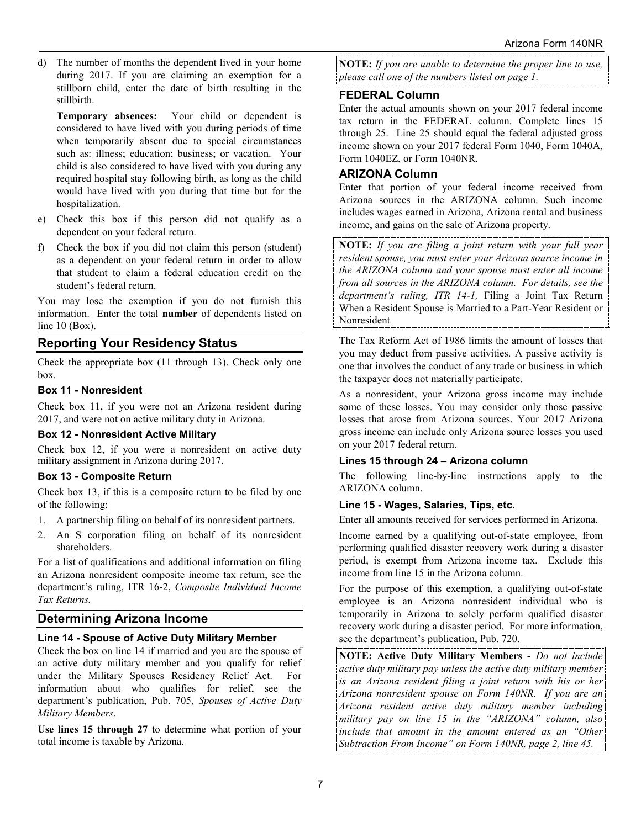d) The number of months the dependent lived in your home during 2017. If you are claiming an exemption for a stillborn child, enter the date of birth resulting in the stillbirth.

**Temporary absences:** Your child or dependent is considered to have lived with you during periods of time when temporarily absent due to special circumstances such as: illness; education; business; or vacation. Your child is also considered to have lived with you during any required hospital stay following birth, as long as the child would have lived with you during that time but for the hospitalization.

- e) Check this box if this person did not qualify as a dependent on your federal return.
- f) Check the box if you did not claim this person (student) as a dependent on your federal return in order to allow that student to claim a federal education credit on the student's federal return.

You may lose the exemption if you do not furnish this information. Enter the total **number** of dependents listed on line 10 (Box).

## **Reporting Your Residency Status**

Check the appropriate box (11 through 13). Check only one box.

#### **Box 11 - Nonresident**

Check box 11, if you were not an Arizona resident during 2017, and were not on active military duty in Arizona.

#### **Box 12 - Nonresident Active Military**

Check box 12, if you were a nonresident on active duty military assignment in Arizona during 2017.

#### **Box 13 - Composite Return**

Check box 13, if this is a composite return to be filed by one of the following:

- 1. A partnership filing on behalf of its nonresident partners.
- 2. An S corporation filing on behalf of its nonresident shareholders.

For a list of qualifications and additional information on filing an Arizona nonresident composite income tax return, see the department's ruling, ITR 16-2, *Composite Individual Income Tax Returns.*

#### **Determining Arizona Income**

#### **Line 14 - Spouse of Active Duty Military Member**

Check the box on line 14 if married and you are the spouse of an active duty military member and you qualify for relief under the Military Spouses Residency Relief Act. For information about who qualifies for relief, see the department's publication, Pub. 705, *Spouses of Active Duty Military Members*.

**Use lines 15 through 27** to determine what portion of your total income is taxable by Arizona.

**NOTE:** *If you are unable to determine the proper line to use, please call one of the numbers listed on page 1.*

## **FEDERAL Column**

Enter the actual amounts shown on your 2017 federal income tax return in the FEDERAL column. Complete lines 15 through 25. Line 25 should equal the federal adjusted gross income shown on your 2017 federal Form 1040, Form 1040A, Form 1040EZ, or Form 1040NR.

#### **ARIZONA Column**

Enter that portion of your federal income received from Arizona sources in the ARIZONA column. Such income includes wages earned in Arizona, Arizona rental and business income, and gains on the sale of Arizona property.

**NOTE:** *If you are filing a joint return with your full year resident spouse, you must enter your Arizona source income in the ARIZONA column and your spouse must enter all income from all sources in the ARIZONA column. For details, see the department's ruling, ITR 14-1,* Filing a Joint Tax Return When a Resident Spouse is Married to a Part-Year Resident or Nonresident

The Tax Reform Act of 1986 limits the amount of losses that you may deduct from passive activities. A passive activity is one that involves the conduct of any trade or business in which the taxpayer does not materially participate.

As a nonresident, your Arizona gross income may include some of these losses. You may consider only those passive losses that arose from Arizona sources. Your 2017 Arizona gross income can include only Arizona source losses you used on your 2017 federal return.

#### **Lines 15 through 24 – Arizona column**

The following line-by-line instructions apply to the ARIZONA column.

#### **Line 15 - Wages, Salaries, Tips, etc.**

Enter all amounts received for services performed in Arizona.

Income earned by a qualifying out-of-state employee, from performing qualified disaster recovery work during a disaster period, is exempt from Arizona income tax. Exclude this income from line 15 in the Arizona column.

For the purpose of this exemption, a qualifying out-of-state employee is an Arizona nonresident individual who is temporarily in Arizona to solely perform qualified disaster recovery work during a disaster period. For more information, see the department's publication, Pub. 720.

**NOTE: Active Duty Military Members** *- Do not include active duty military pay unless the active duty military member is an Arizona resident filing a joint return with his or her Arizona nonresident spouse on Form 140NR. If you are an Arizona resident active duty military member including military pay on line 15 in the "ARIZONA" column, also include that amount in the amount entered as an "Other Subtraction From Income" on Form 140NR, page 2, line 45.*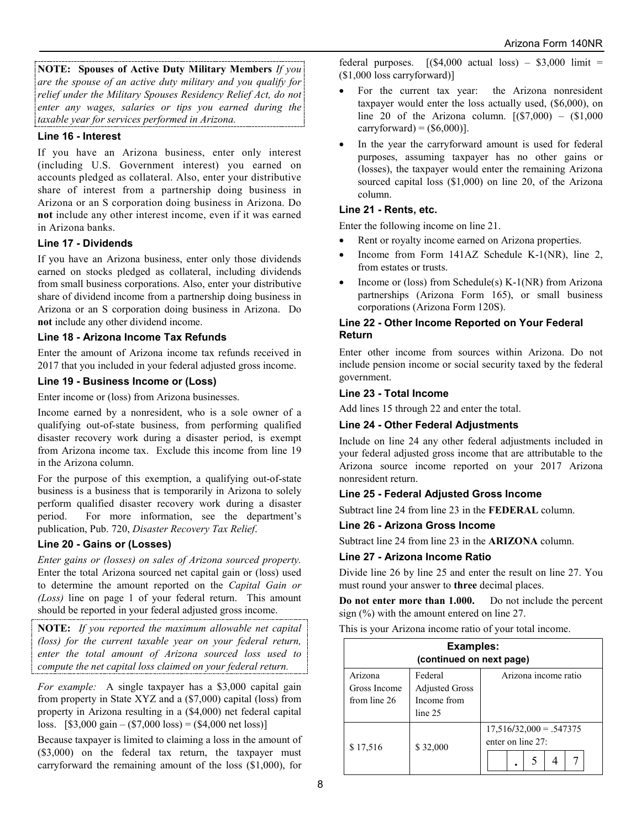**NOTE: Spouses of Active Duty Military Members** *If you are the spouse of an active duty military and you qualify for relief under the Military Spouses Residency Relief Act, do not enter any wages, salaries or tips you earned during the taxable year for services performed in Arizona.*

#### **Line 16 - Interest**

If you have an Arizona business, enter only interest (including U.S. Government interest) you earned on accounts pledged as collateral. Also, enter your distributive share of interest from a partnership doing business in Arizona or an S corporation doing business in Arizona. Do **not** include any other interest income, even if it was earned in Arizona banks.

#### **Line 17 - Dividends**

If you have an Arizona business, enter only those dividends earned on stocks pledged as collateral, including dividends from small business corporations. Also, enter your distributive share of dividend income from a partnership doing business in Arizona or an S corporation doing business in Arizona. Do **not** include any other dividend income.

#### **Line 18 - Arizona Income Tax Refunds**

Enter the amount of Arizona income tax refunds received in 2017 that you included in your federal adjusted gross income.

## **Line 19 - Business Income or (Loss)**

Enter income or (loss) from Arizona businesses.

Income earned by a nonresident, who is a sole owner of a qualifying out-of-state business, from performing qualified disaster recovery work during a disaster period, is exempt from Arizona income tax. Exclude this income from line 19 in the Arizona column.

For the purpose of this exemption, a qualifying out-of-state business is a business that is temporarily in Arizona to solely perform qualified disaster recovery work during a disaster period. For more information, see the department's publication, Pub. 720, *Disaster Recovery Tax Relief*.

#### **Line 20 - Gains or (Losses)**

*Enter gains or (losses) on sales of Arizona sourced property.*  Enter the total Arizona sourced net capital gain or (loss) used to determine the amount reported on the *Capital Gain or (Loss)* line on page 1 of your federal return. This amount should be reported in your federal adjusted gross income.

**NOTE:** *If you reported the maximum allowable net capital (loss) for the current taxable year on your federal return, enter the total amount of Arizona sourced loss used to compute the net capital loss claimed on your federal return.*

*For example:* A single taxpayer has a \$3,000 capital gain from property in State XYZ and a (\$7,000) capital (loss) from property in Arizona resulting in a (\$4,000) net federal capital loss.  $[$3,000 \text{ gain} - ($7,000 \text{ loss}) = ($4,000 \text{ net loss})]$ 

Because taxpayer is limited to claiming a loss in the amount of (\$3,000) on the federal tax return, the taxpayer must carryforward the remaining amount of the loss (\$1,000), for federal purposes.  $[(\$4,000 \text{ actual loss}) - \$3,000 \text{ limit} =$ (\$1,000 loss carryforward)]

- For the current tax year: the Arizona nonresident taxpayer would enter the loss actually used, (\$6,000), on line 20 of the Arizona column.  $[(\$7,000) - \$1,000]$ carryforward) =  $(\$6,000$ ].
- In the year the carryforward amount is used for federal purposes, assuming taxpayer has no other gains or (losses), the taxpayer would enter the remaining Arizona sourced capital loss (\$1,000) on line 20, of the Arizona column.

## **Line 21 - Rents, etc.**

Enter the following income on line 21.

- Rent or royalty income earned on Arizona properties.
- Income from Form 141AZ Schedule K-1(NR), line 2, from estates or trusts.
- Income or (loss) from Schedule(s) K-1(NR) from Arizona partnerships (Arizona Form 165), or small business corporations (Arizona Form 120S).

#### **Line 22 - Other Income Reported on Your Federal Return**

Enter other income from sources within Arizona. Do not include pension income or social security taxed by the federal government.

#### **Line 23 - Total Income**

Add lines 15 through 22 and enter the total.

#### **Line 24 - Other Federal Adjustments**

Include on line 24 any other federal adjustments included in your federal adjusted gross income that are attributable to the Arizona source income reported on your 2017 Arizona nonresident return.

#### **Line 25 - Federal Adjusted Gross Income**

Subtract line 24 from line 23 in the **FEDERAL** column.

#### **Line 26 - Arizona Gross Income**

Subtract line 24 from line 23 in the **ARIZONA** column.

#### **Line 27 - Arizona Income Ratio**

Divide line 26 by line 25 and enter the result on line 27. You must round your answer to **three** decimal places.

**Do not enter more than 1.000.** Do not include the percent sign (%) with the amount entered on line 27.

This is your Arizona income ratio of your total income.

| <b>Examples:</b><br>(continued on next page) |                                                            |                                                |  |  |  |
|----------------------------------------------|------------------------------------------------------------|------------------------------------------------|--|--|--|
| Arizona<br>Gross Income<br>from line 26      | Federal<br><b>Adjusted Gross</b><br>Income from<br>line 25 | Arizona income ratio                           |  |  |  |
| \$17,516                                     | \$32,000                                                   | $17,516/32,000 = .547375$<br>enter on line 27: |  |  |  |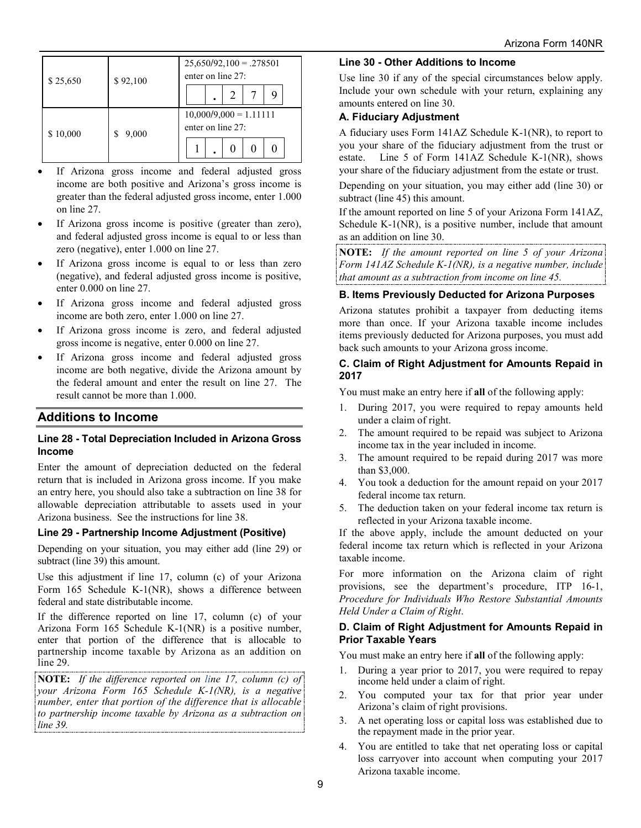| \$25,650 | \$92,100 | $25,650/92,100 = .278501$<br>enter on line 27: |  |  |
|----------|----------|------------------------------------------------|--|--|
|          |          | ٠                                              |  |  |
| \$10,000 | 9,000    | $10,000/9,000 = 1.11111$<br>enter on line 27:  |  |  |
|          |          |                                                |  |  |

- If Arizona gross income and federal adjusted gross income are both positive and Arizona's gross income is greater than the federal adjusted gross income, enter 1.000 on line 27.
- If Arizona gross income is positive (greater than zero), and federal adjusted gross income is equal to or less than zero (negative), enter 1.000 on line 27.
- If Arizona gross income is equal to or less than zero (negative), and federal adjusted gross income is positive, enter 0.000 on line 27.
- If Arizona gross income and federal adjusted gross income are both zero, enter 1.000 on line 27.
- If Arizona gross income is zero, and federal adjusted gross income is negative, enter 0.000 on line 27.
- If Arizona gross income and federal adjusted gross income are both negative, divide the Arizona amount by the federal amount and enter the result on line 27. The result cannot be more than 1.000.

## **Additions to Income**

#### **Line 28 - Total Depreciation Included in Arizona Gross Income**

Enter the amount of depreciation deducted on the federal return that is included in Arizona gross income. If you make an entry here, you should also take a subtraction on line 38 for allowable depreciation attributable to assets used in your Arizona business. See the instructions for line 38.

#### **Line 29 - Partnership Income Adjustment (Positive)**

Depending on your situation, you may either add (line 29) or subtract (line 39) this amount.

Use this adjustment if line 17, column (c) of your Arizona Form 165 Schedule K-1(NR), shows a difference between federal and state distributable income.

If the difference reported on line 17, column (c) of your Arizona Form 165 Schedule K-1(NR) is a positive number, enter that portion of the difference that is allocable to partnership income taxable by Arizona as an addition on line 29.

**NOTE:** *If the difference reported on line 17, column (c) of your Arizona Form 165 Schedule K-1(NR), is a negative number, enter that portion of the difference that is allocable to partnership income taxable by Arizona as a subtraction on line 39.*

#### **Line 30 - Other Additions to Income**

Use line 30 if any of the special circumstances below apply. Include your own schedule with your return, explaining any amounts entered on line 30.

## **A. Fiduciary Adjustment**

A fiduciary uses Form 141AZ Schedule K-1(NR), to report to you your share of the fiduciary adjustment from the trust or estate. Line 5 of Form 141AZ Schedule K-1(NR), shows your share of the fiduciary adjustment from the estate or trust.

Depending on your situation, you may either add (line 30) or subtract (line 45) this amount.

If the amount reported on line 5 of your Arizona Form 141AZ, Schedule K-1(NR), is a positive number, include that amount as an addition on line 30.

**NOTE:** *If the amount reported on line 5 of your Arizona Form 141AZ Schedule K-1(NR), is a negative number, include that amount as a subtraction from income on line 45.*

## **B. Items Previously Deducted for Arizona Purposes**

Arizona statutes prohibit a taxpayer from deducting items more than once. If your Arizona taxable income includes items previously deducted for Arizona purposes, you must add back such amounts to your Arizona gross income.

#### **C. Claim of Right Adjustment for Amounts Repaid in 2017**

You must make an entry here if **all** of the following apply:

- 1. During 2017, you were required to repay amounts held under a claim of right.
- 2. The amount required to be repaid was subject to Arizona income tax in the year included in income.
- 3. The amount required to be repaid during 2017 was more than \$3,000.
- 4. You took a deduction for the amount repaid on your 2017 federal income tax return.
- 5. The deduction taken on your federal income tax return is reflected in your Arizona taxable income.

If the above apply, include the amount deducted on your federal income tax return which is reflected in your Arizona taxable income.

For more information on the Arizona claim of right provisions, see the department's procedure, ITP 16-1, *Procedure for Individuals Who Restore Substantial Amounts Held Under a Claim of Right*.

#### **D. Claim of Right Adjustment for Amounts Repaid in Prior Taxable Years**

You must make an entry here if **all** of the following apply:

- 1. During a year prior to 2017, you were required to repay income held under a claim of right.
- 2. You computed your tax for that prior year under Arizona's claim of right provisions.
- 3. A net operating loss or capital loss was established due to the repayment made in the prior year.
- 4. You are entitled to take that net operating loss or capital loss carryover into account when computing your 2017 Arizona taxable income.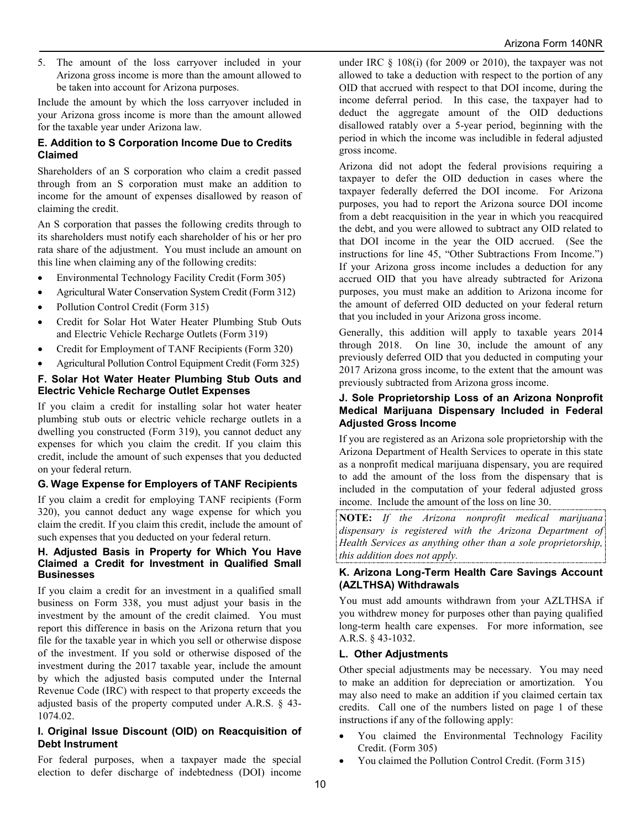5. The amount of the loss carryover included in your Arizona gross income is more than the amount allowed to be taken into account for Arizona purposes.

Include the amount by which the loss carryover included in your Arizona gross income is more than the amount allowed for the taxable year under Arizona law.

#### **E. Addition to S Corporation Income Due to Credits Claimed**

Shareholders of an S corporation who claim a credit passed through from an S corporation must make an addition to income for the amount of expenses disallowed by reason of claiming the credit.

An S corporation that passes the following credits through to its shareholders must notify each shareholder of his or her pro rata share of the adjustment. You must include an amount on this line when claiming any of the following credits:

- Environmental Technology Facility Credit (Form 305)
- Agricultural Water Conservation System Credit (Form 312)
- Pollution Control Credit (Form 315)
- Credit for Solar Hot Water Heater Plumbing Stub Outs and Electric Vehicle Recharge Outlets (Form 319)
- Credit for Employment of TANF Recipients (Form 320)
- Agricultural Pollution Control Equipment Credit (Form 325)

#### **F. Solar Hot Water Heater Plumbing Stub Outs and Electric Vehicle Recharge Outlet Expenses**

If you claim a credit for installing solar hot water heater plumbing stub outs or electric vehicle recharge outlets in a dwelling you constructed (Form 319), you cannot deduct any expenses for which you claim the credit. If you claim this credit, include the amount of such expenses that you deducted on your federal return.

## **G. Wage Expense for Employers of TANF Recipients**

If you claim a credit for employing TANF recipients (Form 320), you cannot deduct any wage expense for which you claim the credit. If you claim this credit, include the amount of such expenses that you deducted on your federal return.

#### **H. Adjusted Basis in Property for Which You Have Claimed a Credit for Investment in Qualified Small Businesses**

If you claim a credit for an investment in a qualified small business on Form 338, you must adjust your basis in the investment by the amount of the credit claimed. You must report this difference in basis on the Arizona return that you file for the taxable year in which you sell or otherwise dispose of the investment. If you sold or otherwise disposed of the investment during the 2017 taxable year, include the amount by which the adjusted basis computed under the Internal Revenue Code (IRC) with respect to that property exceeds the adjusted basis of the property computed under A.R.S. § 43- 1074.02.

#### **I. Original Issue Discount (OID) on Reacquisition of Debt Instrument**

For federal purposes, when a taxpayer made the special election to defer discharge of indebtedness (DOI) income under IRC § 108(i) (for 2009 or 2010), the taxpayer was not allowed to take a deduction with respect to the portion of any OID that accrued with respect to that DOI income, during the income deferral period. In this case, the taxpayer had to deduct the aggregate amount of the OID deductions disallowed ratably over a 5-year period, beginning with the period in which the income was includible in federal adjusted gross income.

Arizona did not adopt the federal provisions requiring a taxpayer to defer the OID deduction in cases where the taxpayer federally deferred the DOI income. For Arizona purposes, you had to report the Arizona source DOI income from a debt reacquisition in the year in which you reacquired the debt, and you were allowed to subtract any OID related to that DOI income in the year the OID accrued. (See the instructions for line 45, "Other Subtractions From Income.") If your Arizona gross income includes a deduction for any accrued OID that you have already subtracted for Arizona purposes, you must make an addition to Arizona income for the amount of deferred OID deducted on your federal return that you included in your Arizona gross income.

Generally, this addition will apply to taxable years 2014 through 2018. On line 30, include the amount of any previously deferred OID that you deducted in computing your 2017 Arizona gross income, to the extent that the amount was previously subtracted from Arizona gross income.

#### **J. Sole Proprietorship Loss of an Arizona Nonprofit Medical Marijuana Dispensary Included in Federal Adjusted Gross Income**

If you are registered as an Arizona sole proprietorship with the Arizona Department of Health Services to operate in this state as a nonprofit medical marijuana dispensary, you are required to add the amount of the loss from the dispensary that is included in the computation of your federal adjusted gross income. Include the amount of the loss on line 30.

**NOTE:** *If the Arizona nonprofit medical marijuana dispensary is registered with the Arizona Department of Health Services as anything other than a sole proprietorship, this addition does not apply.*

#### **K. Arizona Long-Term Health Care Savings Account (AZLTHSA) Withdrawals**

You must add amounts withdrawn from your AZLTHSA if you withdrew money for purposes other than paying qualified long-term health care expenses. For more information, see A.R.S. § 43-1032.

#### **L. Other Adjustments**

Other special adjustments may be necessary. You may need to make an addition for depreciation or amortization. You may also need to make an addition if you claimed certain tax credits. Call one of the numbers listed on page 1 of these instructions if any of the following apply:

- You claimed the Environmental Technology Facility Credit. (Form 305)
- You claimed the Pollution Control Credit. (Form 315)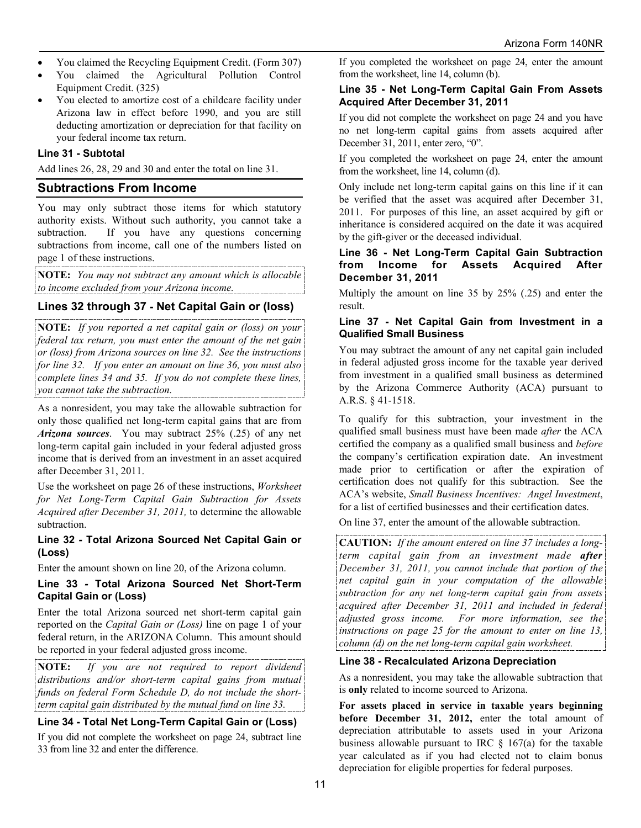- You claimed the Recycling Equipment Credit. (Form 307)
- You claimed the Agricultural Pollution Control Equipment Credit. (325)
- You elected to amortize cost of a childcare facility under Arizona law in effect before 1990, and you are still deducting amortization or depreciation for that facility on your federal income tax return.

#### **Line 31 - Subtotal**

Add lines 26, 28, 29 and 30 and enter the total on line 31.

#### **Subtractions From Income**

You may only subtract those items for which statutory authority exists. Without such authority, you cannot take a subtraction. If you have any questions concerning subtractions from income, call one of the numbers listed on page 1 of these instructions.

**NOTE:** *You may not subtract any amount which is allocable to income excluded from your Arizona income.*

#### **Lines 32 through 37 - Net Capital Gain or (loss)**

**NOTE:** *If you reported a net capital gain or (loss) on your federal tax return, you must enter the amount of the net gain or (loss) from Arizona sources on line 32. See the instructions for line 32. If you enter an amount on line 36, you must also complete lines 34 and 35. If you do not complete these lines, you cannot take the subtraction.*

As a nonresident, you may take the allowable subtraction for only those qualified net long-term capital gains that are from *Arizona sources*. You may subtract 25% (.25) of any net long-term capital gain included in your federal adjusted gross income that is derived from an investment in an asset acquired after December 31, 2011.

Use the worksheet on page 26 of these instructions, *Worksheet for Net Long-Term Capital Gain Subtraction for Assets Acquired after December 31, 2011,* to determine the allowable subtraction.

#### **Line 32** *-* **Total Arizona Sourced Net Capital Gain or (Loss)**

Enter the amount shown on line 20, of the Arizona column.

#### **Line 33** *-* **Total Arizona Sourced Net Short-Term Capital Gain or (Loss)**

Enter the total Arizona sourced net short-term capital gain reported on the *Capital Gain or (Loss)* line on page 1 of your federal return, in the ARIZONA Column. This amount should be reported in your federal adjusted gross income.

**NOTE:** *If you are not required to report dividend distributions and/or short-term capital gains from mutual funds on federal Form Schedule D, do not include the shortterm capital gain distributed by the mutual fund on line 33.*

#### **Line 34 - Total Net Long-Term Capital Gain or (Loss)**

If you did not complete the worksheet on page 24, subtract line 33 from line 32 and enter the difference.

If you completed the worksheet on page 24, enter the amount from the worksheet, line 14, column (b).

#### **Line 35 - Net Long-Term Capital Gain From Assets Acquired After December 31, 2011**

If you did not complete the worksheet on page 24 and you have no net long-term capital gains from assets acquired after December 31, 2011, enter zero, "0".

If you completed the worksheet on page 24, enter the amount from the worksheet, line 14, column (d).

Only include net long-term capital gains on this line if it can be verified that the asset was acquired after December 31, 2011. For purposes of this line, an asset acquired by gift or inheritance is considered acquired on the date it was acquired by the gift-giver or the deceased individual.

#### **Line 36 - Net Long-Term Capital Gain Subtraction from Income for Assets Acquired After December 31, 2011**

Multiply the amount on line 35 by 25% (.25) and enter the result.

#### **Line 37 - Net Capital Gain from Investment in a Qualified Small Business**

You may subtract the amount of any net capital gain included in federal adjusted gross income for the taxable year derived from investment in a qualified small business as determined by the Arizona Commerce Authority (ACA) pursuant to A.R.S. § 41-1518.

To qualify for this subtraction, your investment in the qualified small business must have been made *after* the ACA certified the company as a qualified small business and *before* the company's certification expiration date. An investment made prior to certification or after the expiration of certification does not qualify for this subtraction. See the ACA's website, *Small Business Incentives: Angel Investment*, for a list of certified businesses and their certification dates.

On line 37, enter the amount of the allowable subtraction.

**CAUTION:** *If the amount entered on line 37 includes a longterm capital gain from an investment made after December 31, 2011, you cannot include that portion of the net capital gain in your computation of the allowable subtraction for any net long-term capital gain from assets acquired after December 31, 2011 and included in federal adjusted gross income. For more information, see the instructions on page 25 for the amount to enter on line 13, column (d) on the net long-term capital gain worksheet.*

#### **Line 38 - Recalculated Arizona Depreciation**

As a nonresident, you may take the allowable subtraction that is **only** related to income sourced to Arizona.

**For assets placed in service in taxable years beginning before December 31, 2012,** enter the total amount of depreciation attributable to assets used in your Arizona business allowable pursuant to IRC  $\S$  167(a) for the taxable year calculated as if you had elected not to claim bonus depreciation for eligible properties for federal purposes.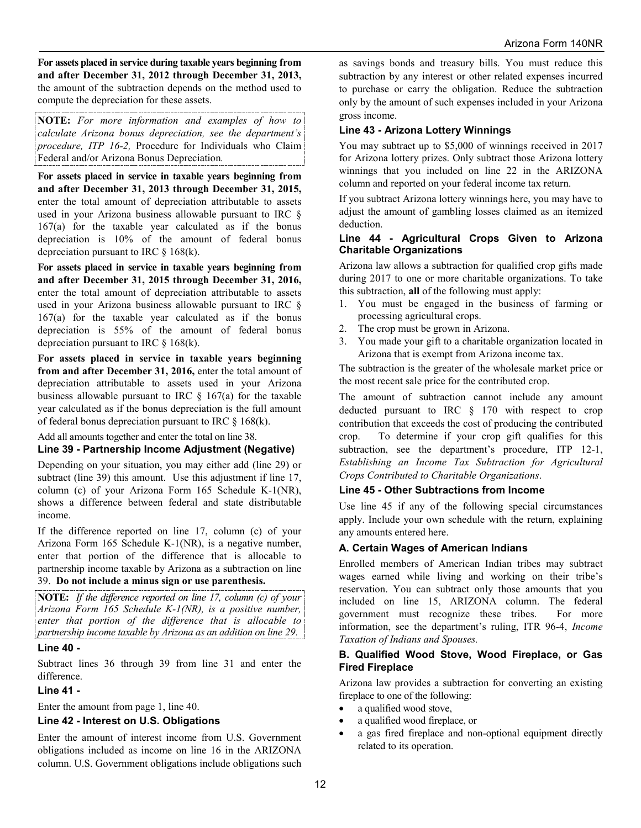**For assets placed in service during taxable years beginning from and after December 31, 2012 through December 31, 2013,** the amount of the subtraction depends on the method used to compute the depreciation for these assets.

**NOTE:** *For more information and examples of how to calculate Arizona bonus depreciation, see the department's procedure, ITP 16-2,* Procedure for Individuals who Claim Federal and/or Arizona Bonus Depreciation*.*

**For assets placed in service in taxable years beginning from and after December 31, 2013 through December 31, 2015,**  enter the total amount of depreciation attributable to assets used in your Arizona business allowable pursuant to IRC § 167(a) for the taxable year calculated as if the bonus depreciation is 10% of the amount of federal bonus depreciation pursuant to IRC  $\&$  168(k).

**For assets placed in service in taxable years beginning from and after December 31, 2015 through December 31, 2016,** enter the total amount of depreciation attributable to assets used in your Arizona business allowable pursuant to IRC § 167(a) for the taxable year calculated as if the bonus depreciation is 55% of the amount of federal bonus depreciation pursuant to IRC  $\S$  168(k).

**For assets placed in service in taxable years beginning from and after December 31, 2016,** enter the total amount of depreciation attributable to assets used in your Arizona business allowable pursuant to IRC  $\S$  167(a) for the taxable year calculated as if the bonus depreciation is the full amount of federal bonus depreciation pursuant to IRC § 168(k).

Add all amounts together and enter the total on line 38.

#### **Line 39 - Partnership Income Adjustment (Negative)**

Depending on your situation, you may either add (line 29) or subtract (line 39) this amount. Use this adjustment if line 17, column (c) of your Arizona Form 165 Schedule K-1(NR), shows a difference between federal and state distributable income.

If the difference reported on line 17, column (c) of your Arizona Form 165 Schedule K-1(NR), is a negative number, enter that portion of the difference that is allocable to partnership income taxable by Arizona as a subtraction on line

## 39. **Do not include a minus sign or use parenthesis.**

**NOTE:** *If the difference reported on line 17, column (c) of your Arizona Form 165 Schedule K-1(NR), is a positive number, enter that portion of the difference that is allocable to partnership income taxable by Arizona as an addition on line 29.*

#### **Line 40 -**

Subtract lines 36 through 39 from line 31 and enter the difference.

## **Line 41 -**

Enter the amount from page 1, line 40.

#### **Line 42 - Interest on U.S. Obligations**

Enter the amount of interest income from U.S. Government obligations included as income on line 16 in the ARIZONA column. U.S. Government obligations include obligations such

as savings bonds and treasury bills. You must reduce this subtraction by any interest or other related expenses incurred to purchase or carry the obligation. Reduce the subtraction only by the amount of such expenses included in your Arizona gross income.

#### **Line 43 - Arizona Lottery Winnings**

You may subtract up to \$5,000 of winnings received in 2017 for Arizona lottery prizes. Only subtract those Arizona lottery winnings that you included on line 22 in the ARIZONA column and reported on your federal income tax return.

If you subtract Arizona lottery winnings here, you may have to adjust the amount of gambling losses claimed as an itemized deduction.

#### **Line 44 - Agricultural Crops Given to Arizona Charitable Organizations**

Arizona law allows a subtraction for qualified crop gifts made during 2017 to one or more charitable organizations. To take this subtraction, **all** of the following must apply:

- 1. You must be engaged in the business of farming or processing agricultural crops.
- 2. The crop must be grown in Arizona.
- 3. You made your gift to a charitable organization located in Arizona that is exempt from Arizona income tax.

The subtraction is the greater of the wholesale market price or the most recent sale price for the contributed crop.

The amount of subtraction cannot include any amount deducted pursuant to IRC § 170 with respect to crop contribution that exceeds the cost of producing the contributed crop. To determine if your crop gift qualifies for this subtraction, see the department's procedure, ITP 12-1, *Establishing an Income Tax Subtraction for Agricultural Crops Contributed to Charitable Organizations*.

#### **Line 45 - Other Subtractions from Income**

Use line 45 if any of the following special circumstances apply. Include your own schedule with the return, explaining any amounts entered here.

#### **A. Certain Wages of American Indians**

Enrolled members of American Indian tribes may subtract wages earned while living and working on their tribe's reservation. You can subtract only those amounts that you included on line 15, ARIZONA column. The federal government must recognize these tribes. For more information, see the department's ruling, ITR 96-4, *Income Taxation of Indians and Spouses.*

#### **B. Qualified Wood Stove, Wood Fireplace, or Gas Fired Fireplace**

Arizona law provides a subtraction for converting an existing fireplace to one of the following:

- a qualified wood stove,
- a qualified wood fireplace, or
- a gas fired fireplace and non-optional equipment directly related to its operation.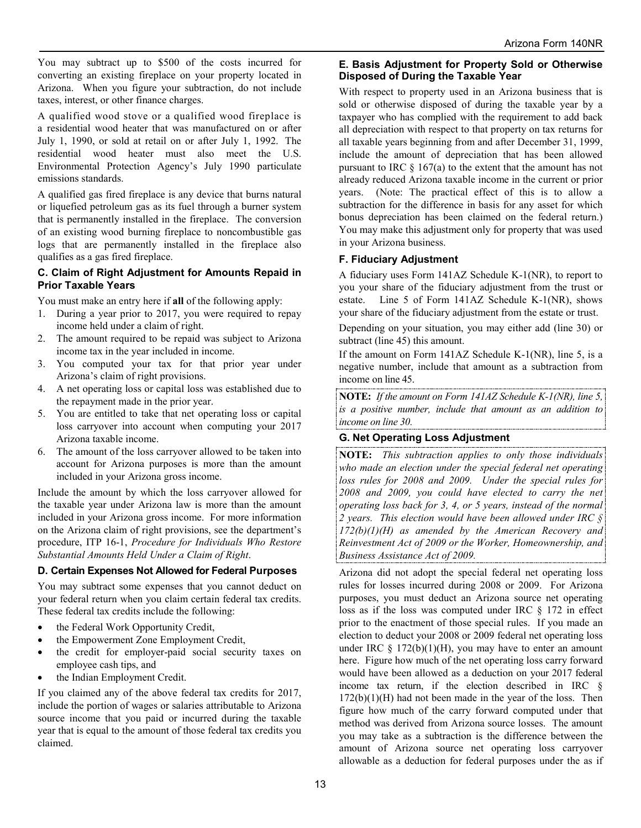You may subtract up to \$500 of the costs incurred for converting an existing fireplace on your property located in Arizona. When you figure your subtraction, do not include taxes, interest, or other finance charges.

A qualified wood stove or a qualified wood fireplace is a residential wood heater that was manufactured on or after July 1, 1990, or sold at retail on or after July 1, 1992. The residential wood heater must also meet the U.S. Environmental Protection Agency's July 1990 particulate emissions standards.

A qualified gas fired fireplace is any device that burns natural or liquefied petroleum gas as its fuel through a burner system that is permanently installed in the fireplace. The conversion of an existing wood burning fireplace to noncombustible gas logs that are permanently installed in the fireplace also qualifies as a gas fired fireplace.

#### **C. Claim of Right Adjustment for Amounts Repaid in Prior Taxable Years**

You must make an entry here if **all** of the following apply:

- 1. During a year prior to 2017, you were required to repay income held under a claim of right.
- 2. The amount required to be repaid was subject to Arizona income tax in the year included in income.
- 3. You computed your tax for that prior year under Arizona's claim of right provisions.
- 4. A net operating loss or capital loss was established due to the repayment made in the prior year.
- 5. You are entitled to take that net operating loss or capital loss carryover into account when computing your 2017 Arizona taxable income.
- 6. The amount of the loss carryover allowed to be taken into account for Arizona purposes is more than the amount included in your Arizona gross income.

Include the amount by which the loss carryover allowed for the taxable year under Arizona law is more than the amount included in your Arizona gross income. For more information on the Arizona claim of right provisions, see the department's procedure, ITP 16-1, *Procedure for Individuals Who Restore Substantial Amounts Held Under a Claim of Right*.

#### **D. Certain Expenses Not Allowed for Federal Purposes**

You may subtract some expenses that you cannot deduct on your federal return when you claim certain federal tax credits. These federal tax credits include the following:

- the Federal Work Opportunity Credit,
- the Empowerment Zone Employment Credit,
- the credit for employer-paid social security taxes on employee cash tips, and
- the Indian Employment Credit.

If you claimed any of the above federal tax credits for 2017, include the portion of wages or salaries attributable to Arizona source income that you paid or incurred during the taxable year that is equal to the amount of those federal tax credits you claimed.

#### **E. Basis Adjustment for Property Sold or Otherwise Disposed of During the Taxable Year**

With respect to property used in an Arizona business that is sold or otherwise disposed of during the taxable year by a taxpayer who has complied with the requirement to add back all depreciation with respect to that property on tax returns for all taxable years beginning from and after December 31, 1999, include the amount of depreciation that has been allowed pursuant to IRC  $\S 167(a)$  to the extent that the amount has not already reduced Arizona taxable income in the current or prior years. (Note: The practical effect of this is to allow a subtraction for the difference in basis for any asset for which bonus depreciation has been claimed on the federal return.) You may make this adjustment only for property that was used in your Arizona business.

#### **F. Fiduciary Adjustment**

A fiduciary uses Form 141AZ Schedule K-1(NR), to report to you your share of the fiduciary adjustment from the trust or estate. Line 5 of Form 141AZ Schedule K-1(NR), shows your share of the fiduciary adjustment from the estate or trust.

Depending on your situation, you may either add (line 30) or subtract (line 45) this amount.

If the amount on Form 141AZ Schedule K-1(NR), line 5, is a negative number, include that amount as a subtraction from income on line 45.

**NOTE:** *If the amount on Form 141AZ Schedule K-1(NR), line 5, is a positive number, include that amount as an addition to income on line 30.*

## **G. Net Operating Loss Adjustment**

**NOTE:** *This subtraction applies to only those individuals who made an election under the special federal net operating loss rules for 2008 and 2009. Under the special rules for 2008 and 2009, you could have elected to carry the net operating loss back for 3, 4, or 5 years, instead of the normal 2 years. This election would have been allowed under IRC § 172(b)(1)(H) as amended by the American Recovery and Reinvestment Act of 2009 or the Worker, Homeownership, and Business Assistance Act of 2009.*

Arizona did not adopt the special federal net operating loss rules for losses incurred during 2008 or 2009. For Arizona purposes, you must deduct an Arizona source net operating loss as if the loss was computed under IRC § 172 in effect prior to the enactment of those special rules. If you made an election to deduct your 2008 or 2009 federal net operating loss under IRC  $\S 172(b)(1)(H)$ , you may have to enter an amount here. Figure how much of the net operating loss carry forward would have been allowed as a deduction on your 2017 federal income tax return, if the election described in IRC §  $172(b)(1)(H)$  had not been made in the year of the loss. Then figure how much of the carry forward computed under that method was derived from Arizona source losses. The amount you may take as a subtraction is the difference between the amount of Arizona source net operating loss carryover allowable as a deduction for federal purposes under the as if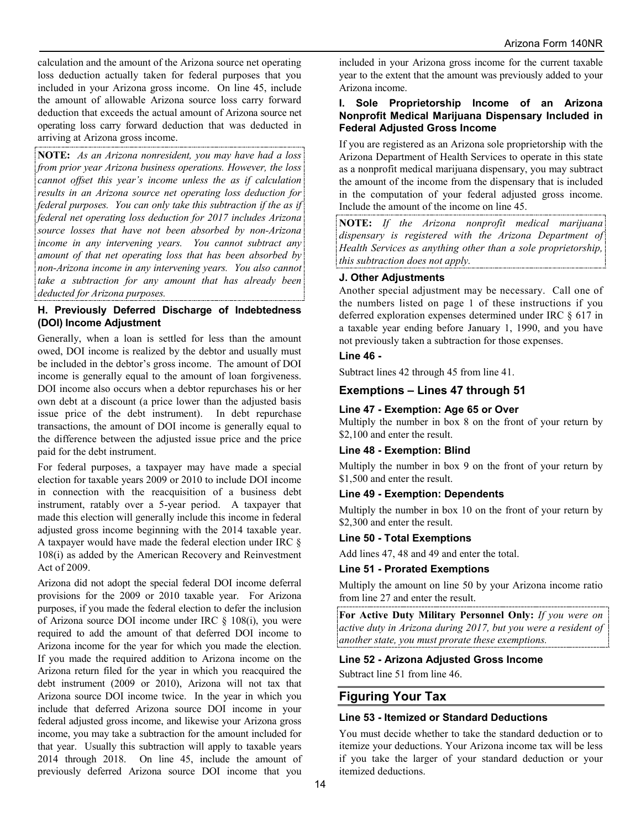calculation and the amount of the Arizona source net operating loss deduction actually taken for federal purposes that you included in your Arizona gross income. On line 45, include the amount of allowable Arizona source loss carry forward deduction that exceeds the actual amount of Arizona source net operating loss carry forward deduction that was deducted in arriving at Arizona gross income.

**NOTE:** *As an Arizona nonresident, you may have had a loss from prior year Arizona business operations. However, the loss cannot offset this year's income unless the as if calculation results in an Arizona source net operating loss deduction for*  federal purposes. You can only take this subtraction if the as if *federal net operating loss deduction for 2017 includes Arizona source losses that have not been absorbed by non-Arizona income in any intervening years. You cannot subtract any amount of that net operating loss that has been absorbed by non-Arizona income in any intervening years. You also cannot take a subtraction for any amount that has already been deducted for Arizona purposes.* 

#### **H. Previously Deferred Discharge of Indebtedness (DOI) Income Adjustment**

Generally, when a loan is settled for less than the amount owed, DOI income is realized by the debtor and usually must be included in the debtor's gross income. The amount of DOI income is generally equal to the amount of loan forgiveness. DOI income also occurs when a debtor repurchases his or her own debt at a discount (a price lower than the adjusted basis issue price of the debt instrument). In debt repurchase transactions, the amount of DOI income is generally equal to the difference between the adjusted issue price and the price paid for the debt instrument.

For federal purposes, a taxpayer may have made a special election for taxable years 2009 or 2010 to include DOI income in connection with the reacquisition of a business debt instrument, ratably over a 5-year period. A taxpayer that made this election will generally include this income in federal adjusted gross income beginning with the 2014 taxable year. A taxpayer would have made the federal election under IRC § 108(i) as added by the American Recovery and Reinvestment Act of 2009.

Arizona did not adopt the special federal DOI income deferral provisions for the 2009 or 2010 taxable year. For Arizona purposes, if you made the federal election to defer the inclusion of Arizona source DOI income under IRC § 108(i), you were required to add the amount of that deferred DOI income to Arizona income for the year for which you made the election. If you made the required addition to Arizona income on the Arizona return filed for the year in which you reacquired the debt instrument (2009 or 2010), Arizona will not tax that Arizona source DOI income twice. In the year in which you include that deferred Arizona source DOI income in your federal adjusted gross income, and likewise your Arizona gross income, you may take a subtraction for the amount included for that year. Usually this subtraction will apply to taxable years 2014 through 2018. On line 45, include the amount of previously deferred Arizona source DOI income that you

included in your Arizona gross income for the current taxable year to the extent that the amount was previously added to your Arizona income.

#### **I. Sole Proprietorship Income of an Arizona Nonprofit Medical Marijuana Dispensary Included in Federal Adjusted Gross Income**

If you are registered as an Arizona sole proprietorship with the Arizona Department of Health Services to operate in this state as a nonprofit medical marijuana dispensary, you may subtract the amount of the income from the dispensary that is included in the computation of your federal adjusted gross income. Include the amount of the income on line 45.

**NOTE:** *If the Arizona nonprofit medical marijuana dispensary is registered with the Arizona Department of Health Services as anything other than a sole proprietorship, this subtraction does not apply.*

## **J. Other Adjustments**

Another special adjustment may be necessary. Call one of the numbers listed on page 1 of these instructions if you deferred exploration expenses determined under IRC § 617 in a taxable year ending before January 1, 1990, and you have not previously taken a subtraction for those expenses.

## **Line 46 -**

Subtract lines 42 through 45 from line 41.

## **Exemptions – Lines 47 through 51**

## **Line 47 - Exemption: Age 65 or Over**

Multiply the number in box 8 on the front of your return by \$2,100 and enter the result.

#### **Line 48 - Exemption: Blind**

Multiply the number in box 9 on the front of your return by \$1,500 and enter the result.

#### **Line 49 - Exemption: Dependents**

Multiply the number in box 10 on the front of your return by \$2,300 and enter the result.

#### **Line 50 - Total Exemptions**

Add lines 47, 48 and 49 and enter the total.

#### **Line 51 - Prorated Exemptions**

Multiply the amount on line 50 by your Arizona income ratio from line 27 and enter the result.

**For Active Duty Military Personnel Only:** *If you were on active duty in Arizona during 2017, but you were a resident of another state, you must prorate these exemptions.*

#### **Line 52 - Arizona Adjusted Gross Income**

Subtract line 51 from line 46.

## **Figuring Your Tax**

#### **Line 53 - Itemized or Standard Deductions**

You must decide whether to take the standard deduction or to itemize your deductions. Your Arizona income tax will be less if you take the larger of your standard deduction or your itemized deductions.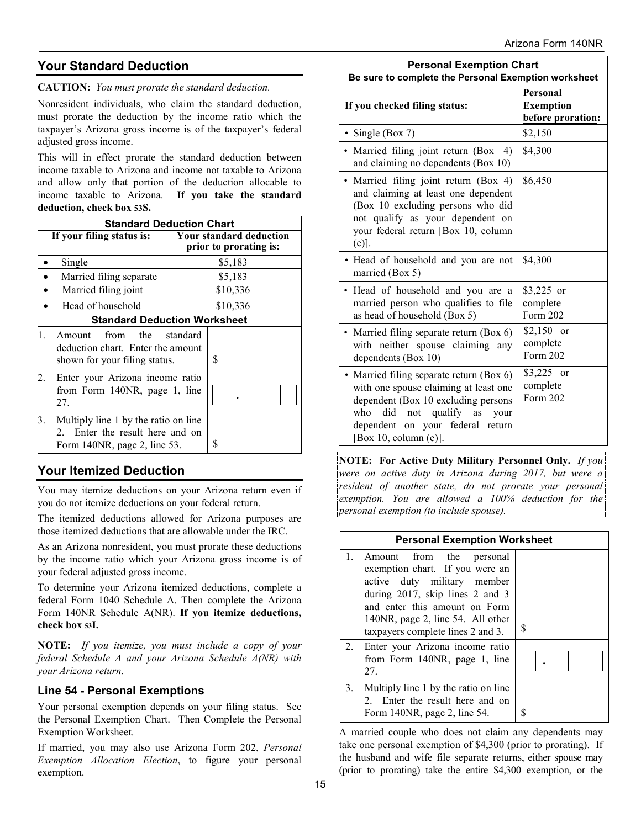## **Your Standard Deduction**

**CAUTION:** *You must prorate the standard deduction.*

Nonresident individuals, who claim the standard deduction, must prorate the deduction by the income ratio which the taxpayer's Arizona gross income is of the taxpayer's federal adjusted gross income.

This will in effect prorate the standard deduction between income taxable to Arizona and income not taxable to Arizona and allow only that portion of the deduction allocable to income taxable to Arizona. **If you take the standard deduction, check box 53S.**

|    | <b>Standard Deduction Chart</b>                                                                         |  |                                                          |  |  |
|----|---------------------------------------------------------------------------------------------------------|--|----------------------------------------------------------|--|--|
|    | If your filing status is:                                                                               |  | <b>Your standard deduction</b><br>prior to prorating is: |  |  |
|    | Single                                                                                                  |  | \$5,183                                                  |  |  |
|    | Married filing separate                                                                                 |  | \$5,183                                                  |  |  |
|    | Married filing joint                                                                                    |  | \$10,336                                                 |  |  |
|    | Head of household                                                                                       |  | \$10,336                                                 |  |  |
|    | <b>Standard Deduction Worksheet</b>                                                                     |  |                                                          |  |  |
| 1. | from<br>the<br>standard<br>Amount<br>deduction chart. Enter the amount<br>shown for your filing status. |  | \$                                                       |  |  |
|    | Enter your Arizona income ratio<br>from Form 140NR, page 1, line<br>27.                                 |  |                                                          |  |  |
| 3. | Multiply line 1 by the ratio on line<br>2. Enter the result here and on<br>Form 140NR, page 2, line 53. |  | \$                                                       |  |  |

## **Your Itemized Deduction**

You may itemize deductions on your Arizona return even if you do not itemize deductions on your federal return.

The itemized deductions allowed for Arizona purposes are those itemized deductions that are allowable under the IRC.

As an Arizona nonresident, you must prorate these deductions by the income ratio which your Arizona gross income is of your federal adjusted gross income.

To determine your Arizona itemized deductions, complete a federal Form 1040 Schedule A. Then complete the Arizona Form 140NR Schedule A(NR). **If you itemize deductions, check box 53I.**

**NOTE:** *If you itemize, you must include a copy of your federal Schedule A and your Arizona Schedule A(NR) with your Arizona return.*

## **Line 54 - Personal Exemptions**

Your personal exemption depends on your filing status. See the Personal Exemption Chart. Then Complete the Personal Exemption Worksheet.

If married, you may also use Arizona Form 202, *Personal Exemption Allocation Election*, to figure your personal exemption.

| <b>Personal Exemption Chart</b><br>Be sure to complete the Personal Exemption worksheet                                                                                                                                       |                                                   |  |  |
|-------------------------------------------------------------------------------------------------------------------------------------------------------------------------------------------------------------------------------|---------------------------------------------------|--|--|
| If you checked filing status:                                                                                                                                                                                                 | Personal<br><b>Exemption</b><br>before proration: |  |  |
| • Single (Box 7)                                                                                                                                                                                                              | \$2,150                                           |  |  |
| • Married filing joint return (Box 4)<br>and claiming no dependents (Box 10)                                                                                                                                                  | \$4,300                                           |  |  |
| • Married filing joint return (Box 4)<br>and claiming at least one dependent<br>(Box 10 excluding persons who did<br>not qualify as your dependent on<br>your federal return [Box 10, column<br>$(e)$ ].                      | \$6,450                                           |  |  |
| • Head of household and you are not<br>married (Box 5)                                                                                                                                                                        | \$4,300                                           |  |  |
| · Head of household and you are a<br>married person who qualifies to file<br>as head of household (Box 5)                                                                                                                     | \$3,225 or<br>complete<br>Form 202                |  |  |
| Married filing separate return (Box 6)<br>with neither spouse claiming any<br>dependents (Box 10)                                                                                                                             | $$2,150$ or<br>complete<br>Form 202               |  |  |
| • Married filing separate return (Box 6)<br>with one spouse claiming at least one<br>dependent (Box 10 excluding persons<br>did not qualify as<br>who<br>your<br>dependent on your federal return<br>[Box 10, column $(e)$ ]. | \$3,225 or<br>complete<br>Form 202                |  |  |

**NOTE: For Active Duty Military Personnel Only.** *If you were on active duty in Arizona during 2017, but were a resident of another state, do not prorate your personal exemption. You are allowed a 100% deduction for the personal exemption (to include spouse).*

| <b>Personal Exemption Worksheet</b> |                                                                                                                                                                                                                                          |     |  |  |  |
|-------------------------------------|------------------------------------------------------------------------------------------------------------------------------------------------------------------------------------------------------------------------------------------|-----|--|--|--|
| $1_{-}$                             | Amount from the personal<br>exemption chart. If you were an<br>active duty military member<br>during 2017, skip lines 2 and 3<br>and enter this amount on Form<br>140NR, page 2, line 54. All other<br>taxpayers complete lines 2 and 3. | \$. |  |  |  |
| 2.                                  | Enter your Arizona income ratio<br>from Form 140NR, page 1, line<br>27.                                                                                                                                                                  |     |  |  |  |
| 3.                                  | Multiply line 1 by the ratio on line<br>2. Enter the result here and on<br>Form 140NR, page 2, line 54.                                                                                                                                  |     |  |  |  |

A married couple who does not claim any dependents may take one personal exemption of \$4,300 (prior to prorating). If the husband and wife file separate returns, either spouse may (prior to prorating) take the entire \$4,300 exemption, or the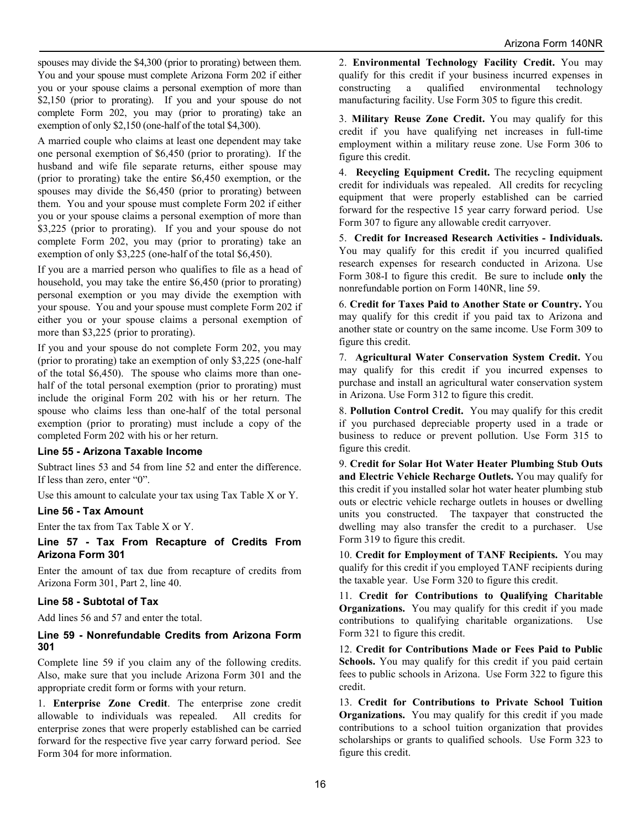spouses may divide the \$4,300 (prior to prorating) between them. You and your spouse must complete Arizona Form 202 if either you or your spouse claims a personal exemption of more than \$2,150 (prior to prorating). If you and your spouse do not complete Form 202, you may (prior to prorating) take an exemption of only \$2,150 (one-half of the total \$4,300).

A married couple who claims at least one dependent may take one personal exemption of \$6,450 (prior to prorating). If the husband and wife file separate returns, either spouse may (prior to prorating) take the entire \$6,450 exemption, or the spouses may divide the \$6,450 (prior to prorating) between them. You and your spouse must complete Form 202 if either you or your spouse claims a personal exemption of more than \$3,225 (prior to prorating). If you and your spouse do not complete Form 202, you may (prior to prorating) take an exemption of only \$3,225 (one-half of the total \$6,450).

If you are a married person who qualifies to file as a head of household, you may take the entire \$6,450 (prior to prorating) personal exemption or you may divide the exemption with your spouse. You and your spouse must complete Form 202 if either you or your spouse claims a personal exemption of more than \$3,225 (prior to prorating).

If you and your spouse do not complete Form 202, you may (prior to prorating) take an exemption of only \$3,225 (one-half of the total \$6,450). The spouse who claims more than onehalf of the total personal exemption (prior to prorating) must include the original Form 202 with his or her return. The spouse who claims less than one-half of the total personal exemption (prior to prorating) must include a copy of the completed Form 202 with his or her return.

#### **Line 55 - Arizona Taxable Income**

Subtract lines 53 and 54 from line 52 and enter the difference. If less than zero, enter "0".

Use this amount to calculate your tax using Tax Table X or Y.

#### **Line 56 - Tax Amount**

Enter the tax from Tax Table X or Y.

**Line 57 - Tax From Recapture of Credits From Arizona Form 301**

Enter the amount of tax due from recapture of credits from Arizona Form 301, Part 2, line 40.

#### **Line 58 - Subtotal of Tax**

Add lines 56 and 57 and enter the total.

#### **Line 59 - Nonrefundable Credits from Arizona Form 301**

Complete line 59 if you claim any of the following credits. Also, make sure that you include Arizona Form 301 and the appropriate credit form or forms with your return.

1. **Enterprise Zone Credit**. The enterprise zone credit allowable to individuals was repealed. All credits for enterprise zones that were properly established can be carried forward for the respective five year carry forward period. See Form 304 for more information.

2. **Environmental Technology Facility Credit.** You may qualify for this credit if your business incurred expenses in constructing a qualified environmental technology manufacturing facility. Use Form 305 to figure this credit.

3. **Military Reuse Zone Credit.** You may qualify for this credit if you have qualifying net increases in full-time employment within a military reuse zone. Use Form 306 to figure this credit.

4. **Recycling Equipment Credit.** The recycling equipment credit for individuals was repealed. All credits for recycling equipment that were properly established can be carried forward for the respective 15 year carry forward period. Use Form 307 to figure any allowable credit carryover.

5. **Credit for Increased Research Activities - Individuals.** You may qualify for this credit if you incurred qualified research expenses for research conducted in Arizona. Use Form 308-I to figure this credit. Be sure to include **only** the nonrefundable portion on Form 140NR, line 59.

6. **Credit for Taxes Paid to Another State or Country.** You may qualify for this credit if you paid tax to Arizona and another state or country on the same income. Use Form 309 to figure this credit.

7. **Agricultural Water Conservation System Credit.** You may qualify for this credit if you incurred expenses to purchase and install an agricultural water conservation system in Arizona. Use Form 312 to figure this credit.

8. **Pollution Control Credit.** You may qualify for this credit if you purchased depreciable property used in a trade or business to reduce or prevent pollution. Use Form 315 to figure this credit.

9. **Credit for Solar Hot Water Heater Plumbing Stub Outs and Electric Vehicle Recharge Outlets.** You may qualify for this credit if you installed solar hot water heater plumbing stub outs or electric vehicle recharge outlets in houses or dwelling units you constructed. The taxpayer that constructed the dwelling may also transfer the credit to a purchaser. Use Form 319 to figure this credit.

10. **Credit for Employment of TANF Recipients.** You may qualify for this credit if you employed TANF recipients during the taxable year. Use Form 320 to figure this credit.

11. **Credit for Contributions to Qualifying Charitable Organizations.** You may qualify for this credit if you made contributions to qualifying charitable organizations. Use Form 321 to figure this credit.

12. **Credit for Contributions Made or Fees Paid to Public Schools.** You may qualify for this credit if you paid certain fees to public schools in Arizona. Use Form 322 to figure this credit.

13. **Credit for Contributions to Private School Tuition Organizations.** You may qualify for this credit if you made contributions to a school tuition organization that provides scholarships or grants to qualified schools. Use Form 323 to figure this credit.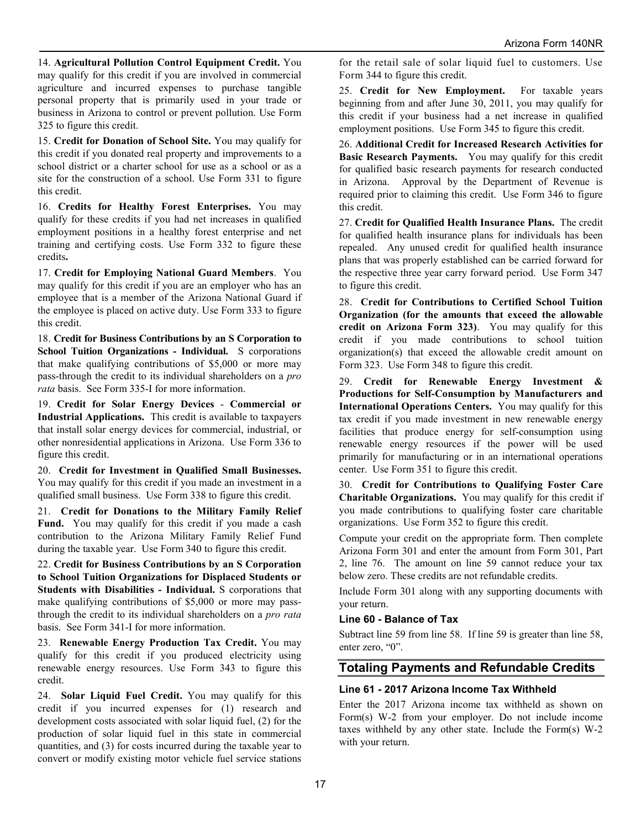14. **Agricultural Pollution Control Equipment Credit.** You may qualify for this credit if you are involved in commercial agriculture and incurred expenses to purchase tangible personal property that is primarily used in your trade or business in Arizona to control or prevent pollution. Use Form 325 to figure this credit.

15. **Credit for Donation of School Site.** You may qualify for this credit if you donated real property and improvements to a school district or a charter school for use as a school or as a site for the construction of a school. Use Form 331 to figure this credit.

16. **Credits for Healthy Forest Enterprises.** You may qualify for these credits if you had net increases in qualified employment positions in a healthy forest enterprise and net training and certifying costs. Use Form 332 to figure these credits**.**

17. **Credit for Employing National Guard Members**. You may qualify for this credit if you are an employer who has an employee that is a member of the Arizona National Guard if the employee is placed on active duty. Use Form 333 to figure this credit.

18. **Credit for Business Contributions by an S Corporation to School Tuition Organizations - Individual.** S corporations that make qualifying contributions of \$5,000 or more may pass-through the credit to its individual shareholders on a *pro rata* basis. See Form 335-I for more information.

19. **Credit for Solar Energy Devices** - **Commercial or Industrial Applications.** This credit is available to taxpayers that install solar energy devices for commercial, industrial, or other nonresidential applications in Arizona. Use Form 336 to figure this credit.

20. **Credit for Investment in Qualified Small Businesses.** You may qualify for this credit if you made an investment in a qualified small business. Use Form 338 to figure this credit.

21. **Credit for Donations to the Military Family Relief**  Fund. You may qualify for this credit if you made a cash contribution to the Arizona Military Family Relief Fund during the taxable year. Use Form 340 to figure this credit.

22. **Credit for Business Contributions by an S Corporation to School Tuition Organizations for Displaced Students or Students with Disabilities - Individual.** S corporations that make qualifying contributions of \$5,000 or more may passthrough the credit to its individual shareholders on a *pro rata* basis. See Form 341-I for more information.

23. **Renewable Energy Production Tax Credit.** You may qualify for this credit if you produced electricity using renewable energy resources. Use Form 343 to figure this credit.

24. **Solar Liquid Fuel Credit.** You may qualify for this credit if you incurred expenses for (1) research and development costs associated with solar liquid fuel, (2) for the production of solar liquid fuel in this state in commercial quantities, and (3) for costs incurred during the taxable year to convert or modify existing motor vehicle fuel service stations for the retail sale of solar liquid fuel to customers. Use Form 344 to figure this credit.

25. **Credit for New Employment.** For taxable years beginning from and after June 30, 2011, you may qualify for this credit if your business had a net increase in qualified employment positions. Use Form 345 to figure this credit.

26. **Additional Credit for Increased Research Activities for Basic Research Payments.** You may qualify for this credit for qualified basic research payments for research conducted in Arizona. Approval by the Department of Revenue is required prior to claiming this credit. Use Form 346 to figure this credit.

27. **Credit for Qualified Health Insurance Plans.** The credit for qualified health insurance plans for individuals has been repealed. Any unused credit for qualified health insurance plans that was properly established can be carried forward for the respective three year carry forward period. Use Form 347 to figure this credit.

28. **Credit for Contributions to Certified School Tuition Organization (for the amounts that exceed the allowable credit on Arizona Form 323)**. You may qualify for this credit if you made contributions to school tuition organization(s) that exceed the allowable credit amount on Form 323. Use Form 348 to figure this credit.

29. **Credit for Renewable Energy Investment & Productions for Self-Consumption by Manufacturers and International Operations Centers.** You may qualify for this tax credit if you made investment in new renewable energy facilities that produce energy for self-consumption using renewable energy resources if the power will be used primarily for manufacturing or in an international operations center. Use Form 351 to figure this credit.

30. **Credit for Contributions to Qualifying Foster Care Charitable Organizations.** You may qualify for this credit if you made contributions to qualifying foster care charitable organizations. Use Form 352 to figure this credit.

Compute your credit on the appropriate form. Then complete Arizona Form 301 and enter the amount from Form 301, Part 2, line 76. The amount on line 59 cannot reduce your tax below zero. These credits are not refundable credits.

Include Form 301 along with any supporting documents with your return.

#### **Line 60 - Balance of Tax**

Subtract line 59 from line 58. If line 59 is greater than line 58, enter zero, "0".

## **Totaling Payments and Refundable Credits**

#### **Line 61 - 2017 Arizona Income Tax Withheld**

Enter the 2017 Arizona income tax withheld as shown on Form(s) W-2 from your employer. Do not include income taxes withheld by any other state. Include the Form(s) W-2 with your return.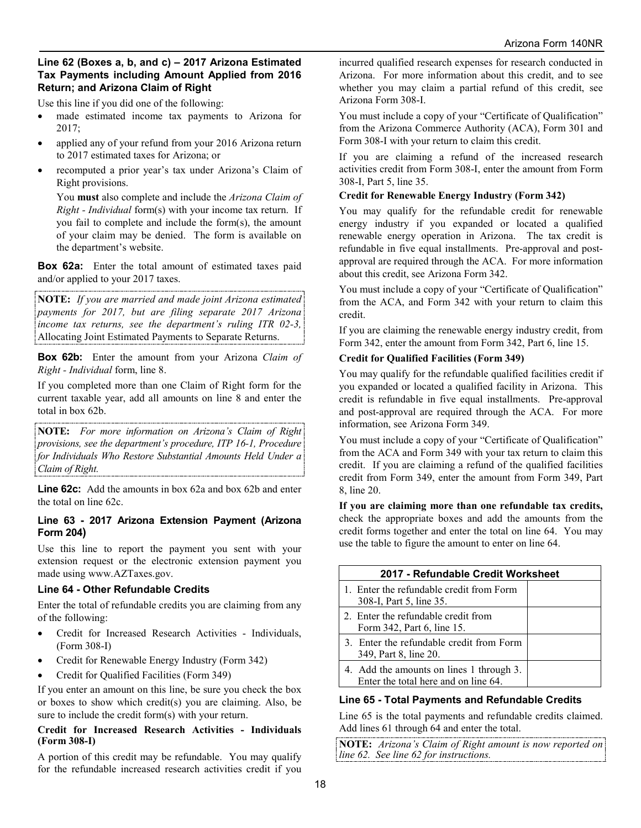#### **Line 62 (Boxes a, b, and c) – 2017 Arizona Estimated Tax Payments including Amount Applied from 2016 Return; and Arizona Claim of Right**

Use this line if you did one of the following:

- made estimated income tax payments to Arizona for 2017;
- applied any of your refund from your 2016 Arizona return to 2017 estimated taxes for Arizona; or
- recomputed a prior year's tax under Arizona's Claim of Right provisions.

You **must** also complete and include the *Arizona Claim of Right - Individual* form(s) with your income tax return. If you fail to complete and include the form(s), the amount of your claim may be denied. The form is available on the department's website.

**Box 62a:** Enter the total amount of estimated taxes paid and/or applied to your 2017 taxes.

**NOTE:** *If you are married and made joint Arizona estimated payments for 2017, but are filing separate 2017 Arizona income tax returns, see the department's ruling ITR 02-3,* Allocating Joint Estimated Payments to Separate Returns.

**Box 62b:** Enter the amount from your Arizona *Claim of Right - Individual* form, line 8.

If you completed more than one Claim of Right form for the current taxable year, add all amounts on line 8 and enter the total in box 62b.

**NOTE:** *For more information on Arizona's Claim of Right provisions, see the department's procedure, ITP 16-1, Procedure for Individuals Who Restore Substantial Amounts Held Under a Claim of Right.*

**Line 62c:** Add the amounts in box 62a and box 62b and enter the total on line 62c.

#### **Line 63 - 2017 Arizona Extension Payment (Arizona Form 204)**

Use this line to report the payment you sent with your extension request or the electronic extension payment you made using www.AZTaxes.gov.

#### **Line 64 - Other Refundable Credits**

Enter the total of refundable credits you are claiming from any of the following:

- Credit for Increased Research Activities Individuals, (Form 308-I)
- Credit for Renewable Energy Industry (Form 342)
- Credit for Qualified Facilities (Form 349)

If you enter an amount on this line, be sure you check the box or boxes to show which credit(s) you are claiming. Also, be sure to include the credit form(s) with your return.

#### **Credit for Increased Research Activities - Individuals (Form 308-I)**

A portion of this credit may be refundable. You may qualify for the refundable increased research activities credit if you incurred qualified research expenses for research conducted in Arizona. For more information about this credit, and to see whether you may claim a partial refund of this credit, see Arizona Form 308-I.

You must include a copy of your "Certificate of Qualification" from the Arizona Commerce Authority (ACA), Form 301 and Form 308-I with your return to claim this credit.

If you are claiming a refund of the increased research activities credit from Form 308-I, enter the amount from Form 308-I, Part 5, line 35.

## **Credit for Renewable Energy Industry (Form 342)**

You may qualify for the refundable credit for renewable energy industry if you expanded or located a qualified renewable energy operation in Arizona. The tax credit is refundable in five equal installments. Pre-approval and postapproval are required through the ACA. For more information about this credit, see Arizona Form 342.

You must include a copy of your "Certificate of Qualification" from the ACA, and Form 342 with your return to claim this credit.

If you are claiming the renewable energy industry credit, from Form 342, enter the amount from Form 342, Part 6, line 15.

#### **Credit for Qualified Facilities (Form 349)**

You may qualify for the refundable qualified facilities credit if you expanded or located a qualified facility in Arizona. This credit is refundable in five equal installments. Pre-approval and post-approval are required through the ACA. For more information, see Arizona Form 349.

You must include a copy of your "Certificate of Qualification" from the ACA and Form 349 with your tax return to claim this credit. If you are claiming a refund of the qualified facilities credit from Form 349, enter the amount from Form 349, Part 8, line 20.

**If you are claiming more than one refundable tax credits,**  check the appropriate boxes and add the amounts from the credit forms together and enter the total on line 64. You may use the table to figure the amount to enter on line 64.

| 2017 - Refundable Credit Worksheet                                               |  |  |  |
|----------------------------------------------------------------------------------|--|--|--|
| 1. Enter the refundable credit from Form<br>308-I, Part 5, line 35.              |  |  |  |
| 2. Enter the refundable credit from<br>Form 342, Part 6, line 15.                |  |  |  |
| 3. Enter the refundable credit from Form<br>349, Part 8, line 20.                |  |  |  |
| 4. Add the amounts on lines 1 through 3.<br>Enter the total here and on line 64. |  |  |  |

#### **Line 65 - Total Payments and Refundable Credits**

Line 65 is the total payments and refundable credits claimed. Add lines 61 through 64 and enter the total.

**NOTE:** *Arizona's Claim of Right amount is now reported on line 62. See line 62 for instructions.*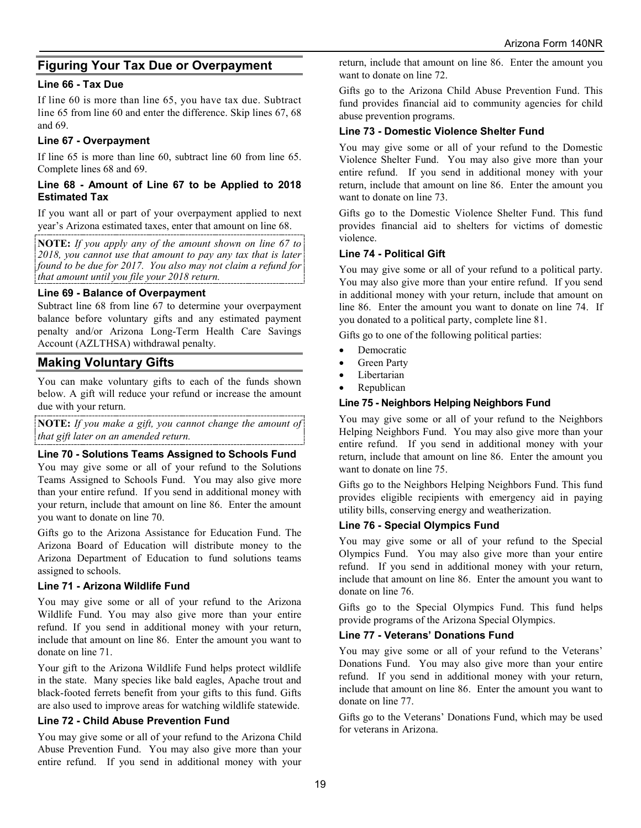## **Figuring Your Tax Due or Overpayment**

#### **Line 66 - Tax Due**

If line 60 is more than line 65, you have tax due. Subtract line 65 from line 60 and enter the difference. Skip lines 67, 68 and 69.

#### **Line 67 - Overpayment**

If line 65 is more than line 60, subtract line 60 from line 65. Complete lines 68 and 69.

#### **Line 68 - Amount of Line 67 to be Applied to 2018 Estimated Tax**

If you want all or part of your overpayment applied to next year's Arizona estimated taxes, enter that amount on line 68.

**NOTE:** *If you apply any of the amount shown on line 67 to 2018, you cannot use that amount to pay any tax that is later found to be due for 2017. You also may not claim a refund for that amount until you file your 2018 return.*

#### **Line 69 - Balance of Overpayment**

Subtract line 68 from line 67 to determine your overpayment balance before voluntary gifts and any estimated payment penalty and/or Arizona Long-Term Health Care Savings Account (AZLTHSA) withdrawal penalty.

## **Making Voluntary Gifts**

You can make voluntary gifts to each of the funds shown below. A gift will reduce your refund or increase the amount due with your return.

**NOTE:** *If you make a gift, you cannot change the amount of that gift later on an amended return.*

#### **Line 70 - Solutions Teams Assigned to Schools Fund**

You may give some or all of your refund to the Solutions Teams Assigned to Schools Fund. You may also give more than your entire refund. If you send in additional money with your return, include that amount on line 86. Enter the amount you want to donate on line 70.

Gifts go to the Arizona Assistance for Education Fund. The Arizona Board of Education will distribute money to the Arizona Department of Education to fund solutions teams assigned to schools.

#### **Line 71 - Arizona Wildlife Fund**

You may give some or all of your refund to the Arizona Wildlife Fund. You may also give more than your entire refund. If you send in additional money with your return, include that amount on line 86. Enter the amount you want to donate on line 71.

Your gift to the Arizona Wildlife Fund helps protect wildlife in the state. Many species like bald eagles, Apache trout and black-footed ferrets benefit from your gifts to this fund. Gifts are also used to improve areas for watching wildlife statewide.

#### **Line 72 - Child Abuse Prevention Fund**

You may give some or all of your refund to the Arizona Child Abuse Prevention Fund. You may also give more than your entire refund. If you send in additional money with your return, include that amount on line 86. Enter the amount you want to donate on line 72.

Gifts go to the Arizona Child Abuse Prevention Fund. This fund provides financial aid to community agencies for child abuse prevention programs.

#### **Line 73 - Domestic Violence Shelter Fund**

You may give some or all of your refund to the Domestic Violence Shelter Fund. You may also give more than your entire refund. If you send in additional money with your return, include that amount on line 86. Enter the amount you want to donate on line 73.

Gifts go to the Domestic Violence Shelter Fund. This fund provides financial aid to shelters for victims of domestic violence.

#### **Line 74 - Political Gift**

You may give some or all of your refund to a political party. You may also give more than your entire refund. If you send in additional money with your return, include that amount on line 86. Enter the amount you want to donate on line 74. If you donated to a political party, complete line 81.

Gifts go to one of the following political parties:

- Democratic
- Green Party
- **Libertarian**
- **Republican**

#### **Line 75 - Neighbors Helping Neighbors Fund**

You may give some or all of your refund to the Neighbors Helping Neighbors Fund. You may also give more than your entire refund. If you send in additional money with your return, include that amount on line 86. Enter the amount you want to donate on line 75.

Gifts go to the Neighbors Helping Neighbors Fund. This fund provides eligible recipients with emergency aid in paying utility bills, conserving energy and weatherization.

#### **Line 76 - Special Olympics Fund**

You may give some or all of your refund to the Special Olympics Fund. You may also give more than your entire refund. If you send in additional money with your return, include that amount on line 86. Enter the amount you want to donate on line 76.

Gifts go to the Special Olympics Fund. This fund helps provide programs of the Arizona Special Olympics.

#### **Line 77 - Veterans' Donations Fund**

You may give some or all of your refund to the Veterans' Donations Fund. You may also give more than your entire refund. If you send in additional money with your return, include that amount on line 86. Enter the amount you want to donate on line 77.

Gifts go to the Veterans' Donations Fund, which may be used for veterans in Arizona.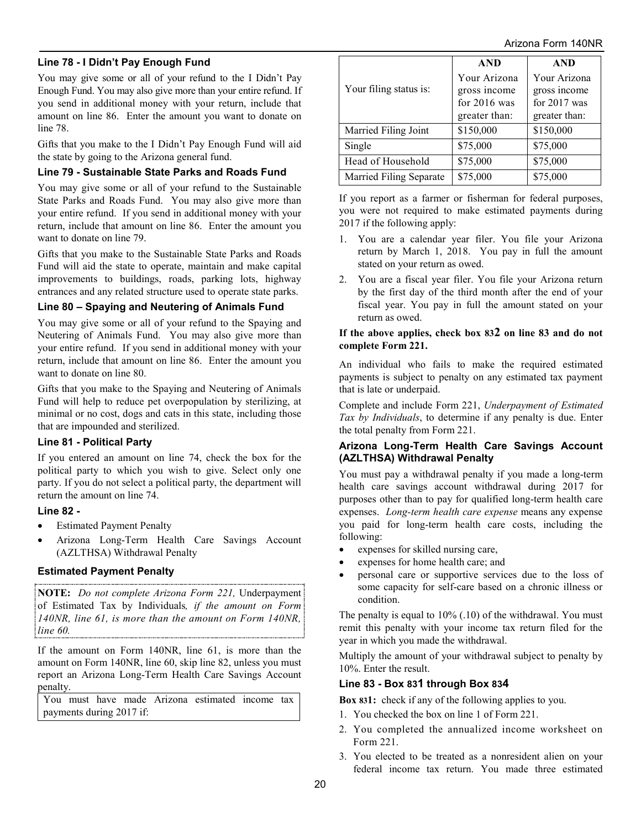## **Line 78 - I Didn't Pay Enough Fund**

You may give some or all of your refund to the I Didn't Pay Enough Fund. You may also give more than your entire refund. If you send in additional money with your return, include that amount on line 86. Enter the amount you want to donate on line 78.

Gifts that you make to the I Didn't Pay Enough Fund will aid the state by going to the Arizona general fund.

#### **Line 79 - Sustainable State Parks and Roads Fund**

You may give some or all of your refund to the Sustainable State Parks and Roads Fund. You may also give more than your entire refund. If you send in additional money with your return, include that amount on line 86. Enter the amount you want to donate on line 79.

Gifts that you make to the Sustainable State Parks and Roads Fund will aid the state to operate, maintain and make capital improvements to buildings, roads, parking lots, highway entrances and any related structure used to operate state parks.

#### **Line 80 – Spaying and Neutering of Animals Fund**

You may give some or all of your refund to the Spaying and Neutering of Animals Fund. You may also give more than your entire refund. If you send in additional money with your return, include that amount on line 86. Enter the amount you want to donate on line 80.

Gifts that you make to the Spaying and Neutering of Animals Fund will help to reduce pet overpopulation by sterilizing, at minimal or no cost, dogs and cats in this state, including those that are impounded and sterilized.

#### **Line 81 - Political Party**

If you entered an amount on line 74, check the box for the political party to which you wish to give. Select only one party. If you do not select a political party, the department will return the amount on line 74.

#### **Line 82 -**

- Estimated Payment Penalty
- Arizona Long-Term Health Care Savings Account (AZLTHSA) Withdrawal Penalty

#### **Estimated Payment Penalty**

**NOTE:** *Do not complete Arizona Form 221,* Underpayment of Estimated Tax by Individuals*, if the amount on Form 140NR, line 61, is more than the amount on Form 140NR, line 60.* 

If the amount on Form 140NR, line 61, is more than the amount on Form 140NR, line 60, skip line 82, unless you must report an Arizona Long-Term Health Care Savings Account penalty.

You must have made Arizona estimated income tax payments during 2017 if:

|                         | <b>AND</b>     | <b>AND</b>     |
|-------------------------|----------------|----------------|
|                         | Your Arizona   | Your Arizona   |
| Your filing status is:  | gross income   | gross income   |
|                         | for $2016$ was | for $2017$ was |
|                         | greater than:  | greater than:  |
| Married Filing Joint    | \$150,000      | \$150,000      |
| Single                  | \$75,000       | \$75,000       |
| Head of Household       | \$75,000       | \$75,000       |
| Married Filing Separate | \$75,000       | \$75,000       |

If you report as a farmer or fisherman for federal purposes, you were not required to make estimated payments during 2017 if the following apply:

- 1. You are a calendar year filer. You file your Arizona return by March 1, 2018. You pay in full the amount stated on your return as owed.
- 2. You are a fiscal year filer. You file your Arizona return by the first day of the third month after the end of your fiscal year. You pay in full the amount stated on your return as owed.

#### **If the above applies, check box 832 on line 83 and do not complete Form 221.**

An individual who fails to make the required estimated payments is subject to penalty on any estimated tax payment that is late or underpaid.

Complete and include Form 221, *Underpayment of Estimated Tax by Individuals*, to determine if any penalty is due. Enter the total penalty from Form 221.

#### **Arizona Long-Term Health Care Savings Account (AZLTHSA) Withdrawal Penalty**

You must pay a withdrawal penalty if you made a long-term health care savings account withdrawal during 2017 for purposes other than to pay for qualified long-term health care expenses. *Long-term health care expense* means any expense you paid for long-term health care costs, including the following:

- expenses for skilled nursing care,
- expenses for home health care; and
- personal care or supportive services due to the loss of some capacity for self-care based on a chronic illness or condition.

The penalty is equal to 10% (.10) of the withdrawal. You must remit this penalty with your income tax return filed for the year in which you made the withdrawal.

Multiply the amount of your withdrawal subject to penalty by 10%. Enter the result.

#### **Line 83 - Box 831 through Box 834**

**Box 831:** check if any of the following applies to you.

- 1. You checked the box on line 1 of Form 221.
- 2. You completed the annualized income worksheet on Form 221.
- 3. You elected to be treated as a nonresident alien on your federal income tax return. You made three estimated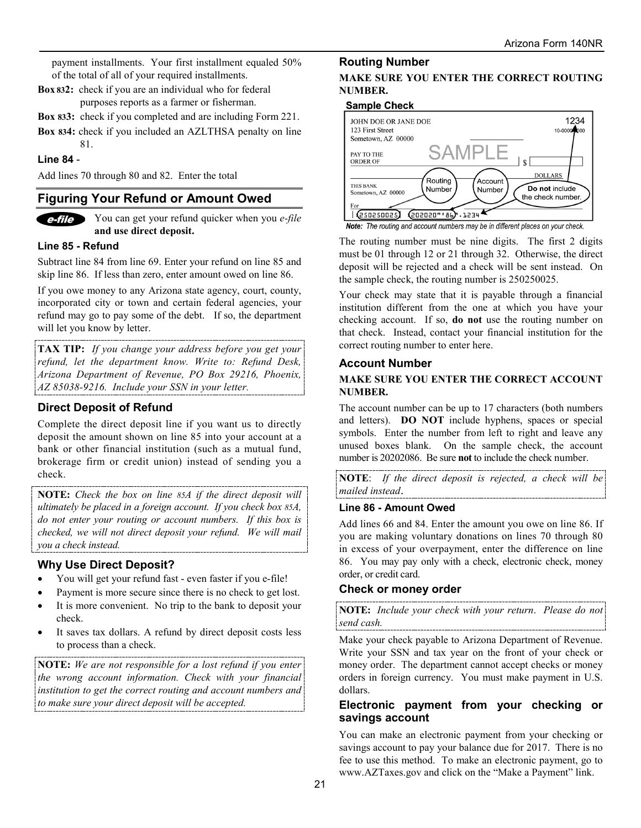payment installments. Your first installment equaled 50% of the total of all of your required installments.

- **Box 832:** check if you are an individual who for federal purposes reports as a farmer or fisherman.
- **Box 833:** check if you completed and are including Form 221.
- **Box 834:** check if you included an AZLTHSA penalty on line 81.

#### **Line 84** -

Add lines 70 through 80 and 82. Enter the total

## **Figuring Your Refund or Amount Owed**



You can get your refund quicker when you *e-file* **and use direct deposit.**

#### **Line 85 - Refund**

Subtract line 84 from line 69. Enter your refund on line 85 and skip line 86. If less than zero, enter amount owed on line 86.

If you owe money to any Arizona state agency, court, county, incorporated city or town and certain federal agencies, your refund may go to pay some of the debt. If so, the department will let you know by letter.

**TAX TIP:** *If you change your address before you get your refund, let the department know. Write to: Refund Desk, Arizona Department of Revenue, PO Box 29216, Phoenix, AZ 85038-9216. Include your SSN in your letter.*

## **Direct Deposit of Refund**

Complete the direct deposit line if you want us to directly deposit the amount shown on line 85 into your account at a bank or other financial institution (such as a mutual fund, brokerage firm or credit union) instead of sending you a check.

**NOTE:** *Check the box on line 85A if the direct deposit will ultimately be placed in a foreign account. If you check box 85A, do not enter your routing or account numbers. If this box is checked, we will not direct deposit your refund. We will mail you a check instead.* 

#### **Why Use Direct Deposit?**

- You will get your refund fast even faster if you e-file!
- Payment is more secure since there is no check to get lost.
- It is more convenient. No trip to the bank to deposit your check.
- It saves tax dollars. A refund by direct deposit costs less to process than a check.

**NOTE:** *We are not responsible for a lost refund if you enter the wrong account information. Check with your financial institution to get the correct routing and account numbers and to make sure your direct deposit will be accepted.*

#### **Routing Number**

#### **MAKE SURE YOU ENTER THE CORRECT ROUTING NUMBER.**

#### **Sample Check**

| JOHN DOE OR JANE DOE<br>123 First Street                                               | 1234<br>10-00000000                                   |
|----------------------------------------------------------------------------------------|-------------------------------------------------------|
| Sometown, AZ 00000                                                                     |                                                       |
| SAMPI<br>PAY TO THE<br><b>ORDER OF</b>                                                 | ¢                                                     |
| Routing<br>Account<br>THIS BANK<br>Number<br>Number<br>Sometown, AZ 00000<br>For       | <b>DOLLARS</b><br>Do not include<br>the check number. |
| <b><i><u>(250250025)</u></i></b><br>(202020"'86).1234                                  |                                                       |
| <b>Note:</b> The routing and account numbers may be in different places on your check. |                                                       |

The routing number must be nine digits. The first 2 digits must be 01 through 12 or 21 through 32. Otherwise, the direct deposit will be rejected and a check will be sent instead. On the sample check, the routing number is 250250025.

Your check may state that it is payable through a financial institution different from the one at which you have your checking account. If so, **do not** use the routing number on that check. Instead, contact your financial institution for the correct routing number to enter here.

#### **Account Number**

#### **MAKE SURE YOU ENTER THE CORRECT ACCOUNT NUMBER.**

The account number can be up to 17 characters (both numbers and letters). **DO NOT** include hyphens, spaces or special symbols. Enter the number from left to right and leave any unused boxes blank. On the sample check, the account number is 20202086. Be sure **not** to include the check number.

**NOTE**: *If the direct deposit is rejected, a check will be mailed instead*.

#### **Line 86 - Amount Owed**

Add lines 66 and 84. Enter the amount you owe on line 86. If you are making voluntary donations on lines 70 through 80 in excess of your overpayment, enter the difference on line 86.You may pay only with a check, electronic check, money order, or credit card.

#### **Check or money order**

**NOTE:** *Include your check with your return*. *Please do not send cash.*

Make your check payable to Arizona Department of Revenue. Write your SSN and tax year on the front of your check or money order. The department cannot accept checks or money orders in foreign currency. You must make payment in U.S. dollars.

#### **Electronic payment from your checking or savings account**

You can make an electronic payment from your checking or savings account to pay your balance due for 2017. There is no fee to use this method. To make an electronic payment, go to www.AZTaxes.gov and click on the "Make a Payment" link.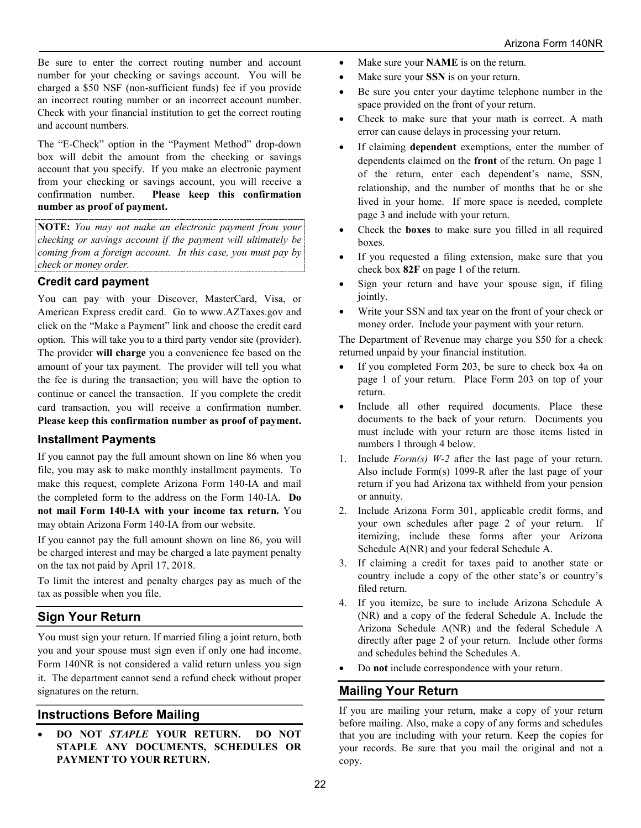Be sure to enter the correct routing number and account number for your checking or savings account. You will be charged a \$50 NSF (non-sufficient funds) fee if you provide an incorrect routing number or an incorrect account number. Check with your financial institution to get the correct routing and account numbers.

The "E-Check" option in the "Payment Method" drop-down box will debit the amount from the checking or savings account that you specify. If you make an electronic payment from your checking or savings account, you will receive a confirmation number. **Please keep this confirmation number as proof of payment.**

**NOTE:** *You may not make an electronic payment from your checking or savings account if the payment will ultimately be coming from a foreign account. In this case, you must pay by check or money order.* 

## **Credit card payment**

You can pay with your Discover, MasterCard, Visa, or American Express credit card. Go to www.AZTaxes.gov and click on the "Make a Payment" link and choose the credit card option. This will take you to a third party vendor site (provider). The provider **will charge** you a convenience fee based on the amount of your tax payment. The provider will tell you what the fee is during the transaction; you will have the option to continue or cancel the transaction. If you complete the credit card transaction, you will receive a confirmation number. **Please keep this confirmation number as proof of payment.**

## **Installment Payments**

If you cannot pay the full amount shown on line 86 when you file, you may ask to make monthly installment payments. To make this request, complete Arizona Form 140-IA and mail the completed form to the address on the Form 140-IA. **Do not mail Form 140**-**IA with your income tax return.** You may obtain Arizona Form 140-IA from our website.

If you cannot pay the full amount shown on line 86, you will be charged interest and may be charged a late payment penalty on the tax not paid by April 17, 2018.

To limit the interest and penalty charges pay as much of the tax as possible when you file.

## **Sign Your Return**

You must sign your return. If married filing a joint return, both you and your spouse must sign even if only one had income. Form 140NR is not considered a valid return unless you sign it. The department cannot send a refund check without proper signatures on the return.

## **Instructions Before Mailing**

• **DO NOT** *STAPLE* **YOUR RETURN. DO NOT STAPLE ANY DOCUMENTS, SCHEDULES OR PAYMENT TO YOUR RETURN.**

- Make sure your **NAME** is on the return.
- Make sure your **SSN** is on your return.
- Be sure you enter your daytime telephone number in the space provided on the front of your return.
- Check to make sure that your math is correct. A math error can cause delays in processing your return.
- If claiming **dependent** exemptions, enter the number of dependents claimed on the **front** of the return. On page 1 of the return, enter each dependent's name, SSN, relationship, and the number of months that he or she lived in your home. If more space is needed, complete page 3 and include with your return.
- Check the **boxes** to make sure you filled in all required boxes.
- If you requested a filing extension, make sure that you check box **82F** on page 1 of the return.
- Sign your return and have your spouse sign, if filing jointly.
- Write your SSN and tax year on the front of your check or money order. Include your payment with your return.

The Department of Revenue may charge you \$50 for a check returned unpaid by your financial institution.

- If you completed Form 203, be sure to check box 4a on page 1 of your return. Place Form 203 on top of your return.
- Include all other required documents. Place these documents to the back of your return. Documents you must include with your return are those items listed in numbers 1 through 4 below.
- 1. Include *Form(s) W-2* after the last page of your return. Also include Form(s) 1099-R after the last page of your return if you had Arizona tax withheld from your pension or annuity.
- 2. Include Arizona Form 301, applicable credit forms, and your own schedules after page 2 of your return. If itemizing, include these forms after your Arizona Schedule A(NR) and your federal Schedule A.
- 3. If claiming a credit for taxes paid to another state or country include a copy of the other state's or country's filed return.
- 4. If you itemize, be sure to include Arizona Schedule A (NR) and a copy of the federal Schedule A. Include the Arizona Schedule A(NR) and the federal Schedule A directly after page 2 of your return. Include other forms and schedules behind the Schedules A.
- Do **not** include correspondence with your return.

## **Mailing Your Return**

If you are mailing your return, make a copy of your return before mailing. Also, make a copy of any forms and schedules that you are including with your return. Keep the copies for your records. Be sure that you mail the original and not a copy.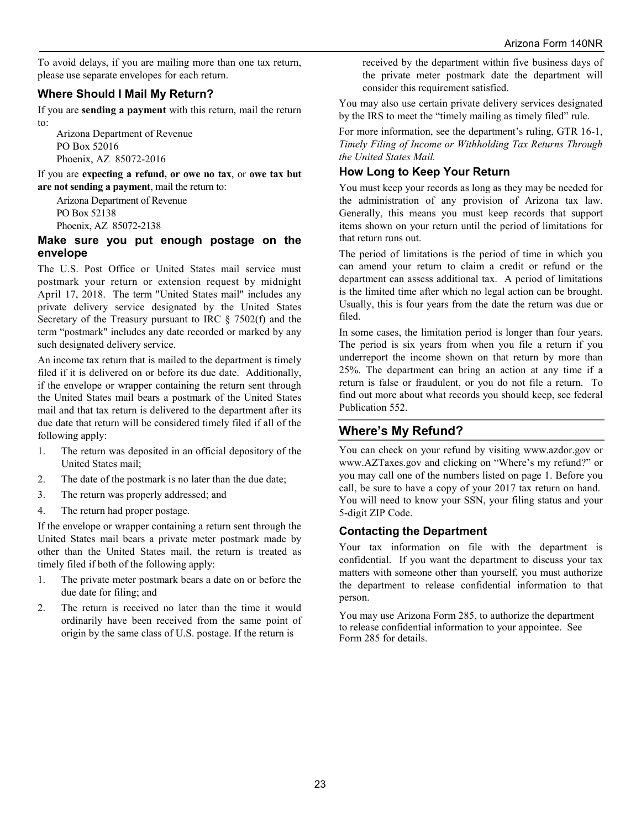To avoid delays, if you are mailing more than one tax return, please use separate envelopes for each return.

## **Where Should I Mail My Return?**

If you are **sending a payment** with this return, mail the return to:

Arizona Department of Revenue PO Box 52016 Phoenix, AZ 85072-2016

If you are **expecting a refund, or owe no tax**, or **owe tax but are not sending a payment**, mail the return to:

Arizona Department of Revenue PO Box 52138 Phoenix, AZ 85072-2138

#### **Make sure you put enough postage on the envelope**

The U.S. Post Office or United States mail service must postmark your return or extension request by midnight April 17, 2018. The term "United States mail" includes any private delivery service designated by the United States Secretary of the Treasury pursuant to IRC § 7502(f) and the term "postmark" includes any date recorded or marked by any such designated delivery service.

An income tax return that is mailed to the department is timely filed if it is delivered on or before its due date. Additionally, if the envelope or wrapper containing the return sent through the United States mail bears a postmark of the United States mail and that tax return is delivered to the department after its due date that return will be considered timely filed if all of the following apply:

- 1. The return was deposited in an official depository of the United States mail;
- 2. The date of the postmark is no later than the due date;
- 3. The return was properly addressed; and
- 4. The return had proper postage.

If the envelope or wrapper containing a return sent through the United States mail bears a private meter postmark made by other than the United States mail, the return is treated as timely filed if both of the following apply:

- 1. The private meter postmark bears a date on or before the due date for filing; and
- 2. The return is received no later than the time it would ordinarily have been received from the same point of origin by the same class of U.S. postage. If the return is

received by the department within five business days of the private meter postmark date the department will consider this requirement satisfied.

You may also use certain private delivery services designated by the IRS to meet the "timely mailing as timely filed" rule.

For more information, see the department's ruling, GTR 16-1, *Timely Filing of Income or Withholding Tax Returns Through the United States Mail.*

## **How Long to Keep Your Return**

You must keep your records as long as they may be needed for the administration of any provision of Arizona tax law. Generally, this means you must keep records that support items shown on your return until the period of limitations for that return runs out.

The period of limitations is the period of time in which you can amend your return to claim a credit or refund or the department can assess additional tax. A period of limitations is the limited time after which no legal action can be brought. Usually, this is four years from the date the return was due or filed.

In some cases, the limitation period is longer than four years. The period is six years from when you file a return if you underreport the income shown on that return by more than 25%. The department can bring an action at any time if a return is false or fraudulent, or you do not file a return. To find out more about what records you should keep, see federal Publication 552.

## **Where's My Refund?**

You can check on your refund by visiting www.azdor.gov or www.AZTaxes.gov and clicking on "Where's my refund?" or you may call one of the numbers listed on page 1. Before you call, be sure to have a copy of your 2017 tax return on hand. You will need to know your SSN, your filing status and your 5-digit ZIP Code.

#### **Contacting the Department**

Your tax information on file with the department is confidential. If you want the department to discuss your tax matters with someone other than yourself, you must authorize the department to release confidential information to that person.

You may use Arizona Form 285, to authorize the department to release confidential information to your appointee. See Form 285 for details.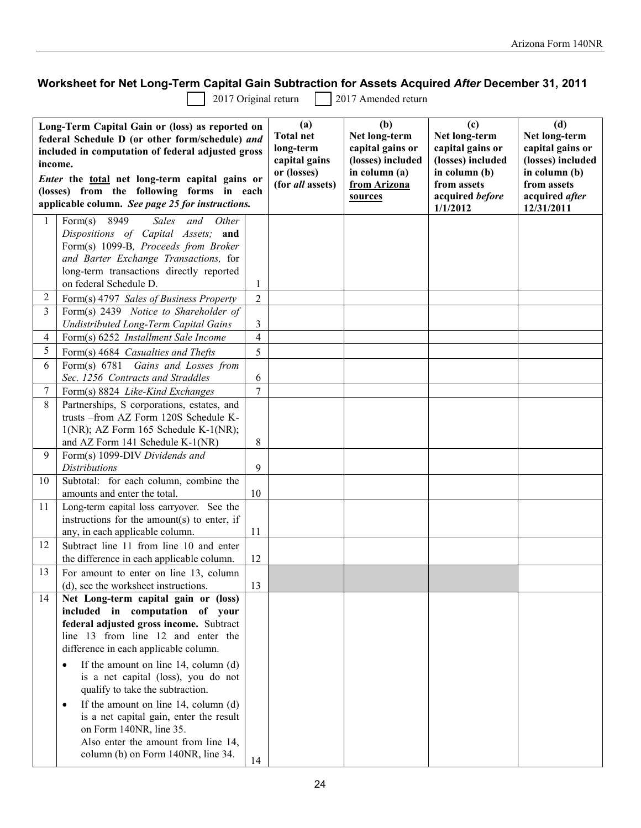# **Worksheet for Net Long-Term Capital Gain Subtraction for Assets Acquired** *After* **December 31, 2011<br>2017 Original return 2017 Amended return**

2017 Amended return

| Long-Term Capital Gain or (loss) as reported on<br>federal Schedule D (or other form/schedule) and<br>included in computation of federal adjusted gross<br>income.<br>Enter the total net long-term capital gains or<br>(losses) from the following forms in each<br>applicable column. See page 25 for instructions. |                                                                                          | (a)<br><b>Total net</b><br>long-term<br>capital gains<br>or (losses)<br>(for all assets) | (b)<br>Net long-term<br>capital gains or<br>(losses) included<br>in column (a)<br>from Arizona<br>sources | (c)<br>Net long-term<br>capital gains or<br>(losses) included<br>in column (b)<br>from assets<br>acquired before<br>1/1/2012 | (d)<br>Net long-term<br>capital gains or<br>(losses) included<br>in column (b)<br>from assets<br>acquired after<br>12/31/2011 |  |
|-----------------------------------------------------------------------------------------------------------------------------------------------------------------------------------------------------------------------------------------------------------------------------------------------------------------------|------------------------------------------------------------------------------------------|------------------------------------------------------------------------------------------|-----------------------------------------------------------------------------------------------------------|------------------------------------------------------------------------------------------------------------------------------|-------------------------------------------------------------------------------------------------------------------------------|--|
| 1                                                                                                                                                                                                                                                                                                                     | 8949<br><b>Sales</b><br>and<br>Other<br>Form(s)<br>Dispositions of Capital Assets; and   |                                                                                          |                                                                                                           |                                                                                                                              |                                                                                                                               |  |
|                                                                                                                                                                                                                                                                                                                       | Form(s) 1099-B, Proceeds from Broker                                                     |                                                                                          |                                                                                                           |                                                                                                                              |                                                                                                                               |  |
|                                                                                                                                                                                                                                                                                                                       | and Barter Exchange Transactions, for                                                    |                                                                                          |                                                                                                           |                                                                                                                              |                                                                                                                               |  |
|                                                                                                                                                                                                                                                                                                                       | long-term transactions directly reported                                                 |                                                                                          |                                                                                                           |                                                                                                                              |                                                                                                                               |  |
| 2                                                                                                                                                                                                                                                                                                                     | on federal Schedule D.                                                                   | 1                                                                                        |                                                                                                           |                                                                                                                              |                                                                                                                               |  |
| 3                                                                                                                                                                                                                                                                                                                     | Form(s) 4797 Sales of Business Property<br>Form(s) 2439 Notice to Shareholder of         | $\overline{2}$                                                                           |                                                                                                           |                                                                                                                              |                                                                                                                               |  |
|                                                                                                                                                                                                                                                                                                                       | Undistributed Long-Term Capital Gains                                                    | 3                                                                                        |                                                                                                           |                                                                                                                              |                                                                                                                               |  |
| 4                                                                                                                                                                                                                                                                                                                     | Form(s) 6252 Installment Sale Income                                                     | 4                                                                                        |                                                                                                           |                                                                                                                              |                                                                                                                               |  |
| 5                                                                                                                                                                                                                                                                                                                     | Form(s) 4684 Casualties and Thefts                                                       | 5                                                                                        |                                                                                                           |                                                                                                                              |                                                                                                                               |  |
| 6                                                                                                                                                                                                                                                                                                                     | Form(s) 6781 Gains and Losses from                                                       |                                                                                          |                                                                                                           |                                                                                                                              |                                                                                                                               |  |
|                                                                                                                                                                                                                                                                                                                       | Sec. 1256 Contracts and Straddles                                                        | 6                                                                                        |                                                                                                           |                                                                                                                              |                                                                                                                               |  |
| 7                                                                                                                                                                                                                                                                                                                     | Form(s) 8824 Like-Kind Exchanges                                                         | $\overline{7}$                                                                           |                                                                                                           |                                                                                                                              |                                                                                                                               |  |
| 8                                                                                                                                                                                                                                                                                                                     | Partnerships, S corporations, estates, and                                               |                                                                                          |                                                                                                           |                                                                                                                              |                                                                                                                               |  |
|                                                                                                                                                                                                                                                                                                                       | trusts -from AZ Form 120S Schedule K-<br>$1(NR)$ ; AZ Form 165 Schedule K- $1(NR)$ ;     |                                                                                          |                                                                                                           |                                                                                                                              |                                                                                                                               |  |
|                                                                                                                                                                                                                                                                                                                       | and AZ Form 141 Schedule K-1(NR)                                                         | 8                                                                                        |                                                                                                           |                                                                                                                              |                                                                                                                               |  |
| 9                                                                                                                                                                                                                                                                                                                     | Form(s) 1099-DIV Dividends and                                                           |                                                                                          |                                                                                                           |                                                                                                                              |                                                                                                                               |  |
|                                                                                                                                                                                                                                                                                                                       | <b>Distributions</b>                                                                     | 9                                                                                        |                                                                                                           |                                                                                                                              |                                                                                                                               |  |
| 10                                                                                                                                                                                                                                                                                                                    | Subtotal: for each column, combine the                                                   |                                                                                          |                                                                                                           |                                                                                                                              |                                                                                                                               |  |
|                                                                                                                                                                                                                                                                                                                       | amounts and enter the total.                                                             | 10                                                                                       |                                                                                                           |                                                                                                                              |                                                                                                                               |  |
| 11                                                                                                                                                                                                                                                                                                                    | Long-term capital loss carryover. See the<br>instructions for the amount(s) to enter, if |                                                                                          |                                                                                                           |                                                                                                                              |                                                                                                                               |  |
|                                                                                                                                                                                                                                                                                                                       | any, in each applicable column.                                                          | 11                                                                                       |                                                                                                           |                                                                                                                              |                                                                                                                               |  |
| 12                                                                                                                                                                                                                                                                                                                    | Subtract line 11 from line 10 and enter                                                  |                                                                                          |                                                                                                           |                                                                                                                              |                                                                                                                               |  |
|                                                                                                                                                                                                                                                                                                                       | the difference in each applicable column.                                                | 12                                                                                       |                                                                                                           |                                                                                                                              |                                                                                                                               |  |
| 13                                                                                                                                                                                                                                                                                                                    | For amount to enter on line 13, column                                                   |                                                                                          |                                                                                                           |                                                                                                                              |                                                                                                                               |  |
|                                                                                                                                                                                                                                                                                                                       | (d), see the worksheet instructions.                                                     | 13                                                                                       |                                                                                                           |                                                                                                                              |                                                                                                                               |  |
| 14                                                                                                                                                                                                                                                                                                                    | Net Long-term capital gain or (loss)                                                     |                                                                                          |                                                                                                           |                                                                                                                              |                                                                                                                               |  |
|                                                                                                                                                                                                                                                                                                                       | included in computation of your<br>federal adjusted gross income. Subtract               |                                                                                          |                                                                                                           |                                                                                                                              |                                                                                                                               |  |
|                                                                                                                                                                                                                                                                                                                       | line 13 from line 12 and enter the                                                       |                                                                                          |                                                                                                           |                                                                                                                              |                                                                                                                               |  |
|                                                                                                                                                                                                                                                                                                                       | difference in each applicable column.                                                    |                                                                                          |                                                                                                           |                                                                                                                              |                                                                                                                               |  |
|                                                                                                                                                                                                                                                                                                                       | If the amount on line 14, column (d)<br>٠                                                |                                                                                          |                                                                                                           |                                                                                                                              |                                                                                                                               |  |
|                                                                                                                                                                                                                                                                                                                       | is a net capital (loss), you do not                                                      |                                                                                          |                                                                                                           |                                                                                                                              |                                                                                                                               |  |
|                                                                                                                                                                                                                                                                                                                       | qualify to take the subtraction.                                                         |                                                                                          |                                                                                                           |                                                                                                                              |                                                                                                                               |  |
|                                                                                                                                                                                                                                                                                                                       | If the amount on line $14$ , column (d)                                                  |                                                                                          |                                                                                                           |                                                                                                                              |                                                                                                                               |  |
|                                                                                                                                                                                                                                                                                                                       | is a net capital gain, enter the result                                                  |                                                                                          |                                                                                                           |                                                                                                                              |                                                                                                                               |  |
|                                                                                                                                                                                                                                                                                                                       | on Form 140NR, line 35.<br>Also enter the amount from line 14,                           |                                                                                          |                                                                                                           |                                                                                                                              |                                                                                                                               |  |
|                                                                                                                                                                                                                                                                                                                       | column (b) on Form 140NR, line 34.                                                       |                                                                                          |                                                                                                           |                                                                                                                              |                                                                                                                               |  |
|                                                                                                                                                                                                                                                                                                                       |                                                                                          | 14                                                                                       |                                                                                                           |                                                                                                                              |                                                                                                                               |  |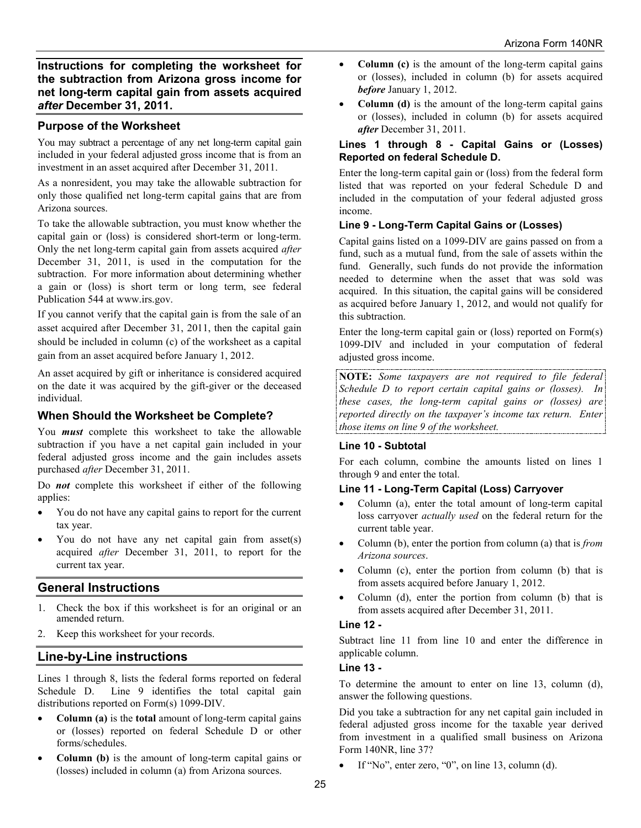**Instructions for completing the worksheet for the subtraction from Arizona gross income for net long-term capital gain from assets acquired**  *after* **December 31, 2011.**

## **Purpose of the Worksheet**

You may subtract a percentage of any net long-term capital gain included in your federal adjusted gross income that is from an investment in an asset acquired after December 31, 2011.

As a nonresident, you may take the allowable subtraction for only those qualified net long-term capital gains that are from Arizona sources.

To take the allowable subtraction, you must know whether the capital gain or (loss) is considered short-term or long-term. Only the net long-term capital gain from assets acquired *after*  December 31, 2011, is used in the computation for the subtraction. For more information about determining whether a gain or (loss) is short term or long term, see federal Publication 544 at www.irs.gov.

If you cannot verify that the capital gain is from the sale of an asset acquired after December 31, 2011, then the capital gain should be included in column (c) of the worksheet as a capital gain from an asset acquired before January 1, 2012.

An asset acquired by gift or inheritance is considered acquired on the date it was acquired by the gift-giver or the deceased individual.

## **When Should the Worksheet be Complete?**

You *must* complete this worksheet to take the allowable subtraction if you have a net capital gain included in your federal adjusted gross income and the gain includes assets purchased *after* December 31, 2011.

Do *not* complete this worksheet if either of the following applies:

- You do not have any capital gains to report for the current tax year.
- You do not have any net capital gain from asset(s) acquired *after* December 31, 2011, to report for the current tax year.

## **General Instructions**

- 1. Check the box if this worksheet is for an original or an amended return.
- 2. Keep this worksheet for your records.

## **Line-by-Line instructions**

Lines 1 through 8, lists the federal forms reported on federal Schedule D. Line 9 identifies the total capital gain distributions reported on Form(s) 1099-DIV.

- **Column (a)** is the **total** amount of long-term capital gains or (losses) reported on federal Schedule D or other forms/schedules.
- **Column (b)** is the amount of long-term capital gains or (losses) included in column (a) from Arizona sources.
- **Column (c)** is the amount of the long-term capital gains or (losses), included in column (b) for assets acquired *before* January 1, 2012.
- **Column (d)** is the amount of the long-term capital gains or (losses), included in column (b) for assets acquired *after* December 31, 2011.

#### **Lines 1 through 8 - Capital Gains or (Losses) Reported on federal Schedule D.**

Enter the long-term capital gain or (loss) from the federal form listed that was reported on your federal Schedule D and included in the computation of your federal adjusted gross income.

## **Line 9 - Long-Term Capital Gains or (Losses)**

Capital gains listed on a 1099-DIV are gains passed on from a fund, such as a mutual fund, from the sale of assets within the fund. Generally, such funds do not provide the information needed to determine when the asset that was sold was acquired. In this situation, the capital gains will be considered as acquired before January 1, 2012, and would not qualify for this subtraction.

Enter the long-term capital gain or (loss) reported on Form(s) 1099-DIV and included in your computation of federal adjusted gross income.

**NOTE:** *Some taxpayers are not required to file federal Schedule D to report certain capital gains or (losses). In these cases, the long-term capital gains or (losses) are reported directly on the taxpayer's income tax return. Enter those items on line 9 of the worksheet.*

#### **Line 10 - Subtotal**

For each column, combine the amounts listed on lines 1 through 9 and enter the total.

#### **Line 11 - Long-Term Capital (Loss) Carryover**

- Column (a), enter the total amount of long-term capital loss carryover *actually used* on the federal return for the current table year.
- Column (b), enter the portion from column (a) that is *from Arizona sources*.
- Column (c), enter the portion from column (b) that is from assets acquired before January 1, 2012.
- Column (d), enter the portion from column (b) that is from assets acquired after December 31, 2011.

#### **Line 12 -**

Subtract line 11 from line 10 and enter the difference in applicable column.

#### **Line 13 -**

To determine the amount to enter on line 13, column (d), answer the following questions.

Did you take a subtraction for any net capital gain included in federal adjusted gross income for the taxable year derived from investment in a qualified small business on Arizona Form 140NR, line 37?

If "No", enter zero, "0", on line 13, column (d).